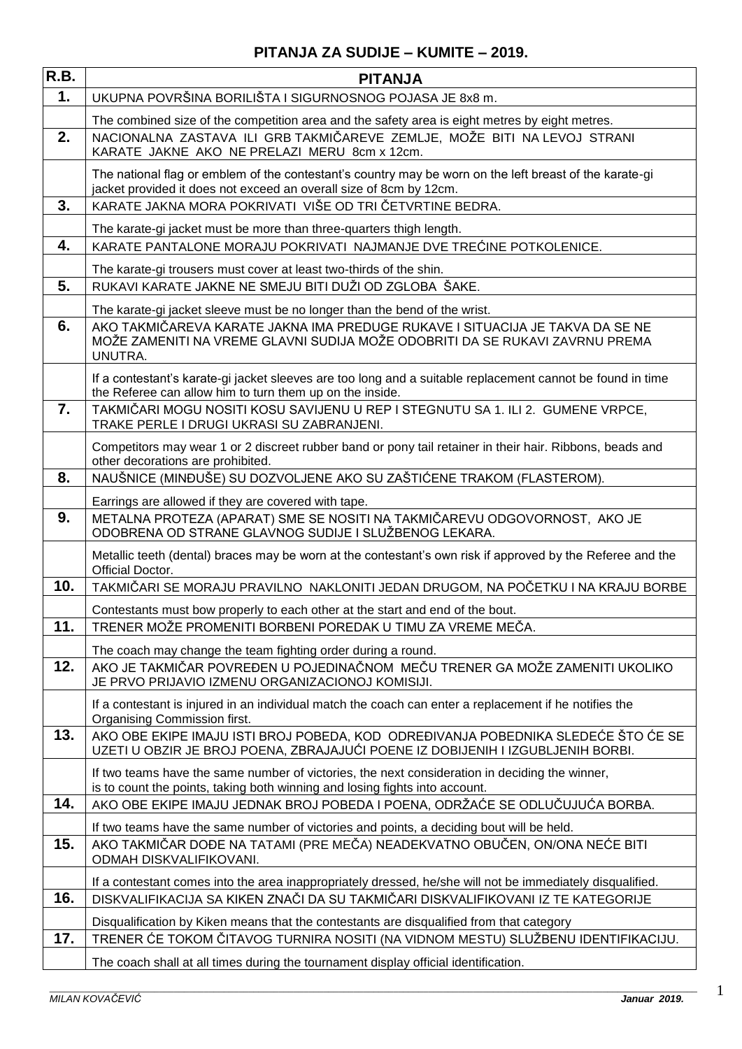| R.B.             | <b>PITANJA</b>                                                                                                                                                                |
|------------------|-------------------------------------------------------------------------------------------------------------------------------------------------------------------------------|
| 1.               | UKUPNA POVRŠINA BORILIŠTA I SIGURNOSNOG POJASA JE 8x8 m.                                                                                                                      |
|                  | The combined size of the competition area and the safety area is eight metres by eight metres.                                                                                |
| 2.               | NACIONALNA ZASTAVA ILI GRB TAKMIČAREVE ZEMLJE, MOŽE BITI NA LEVOJ STRANI<br>KARATE JAKNE AKO NE PRELAZI MERU 8cm x 12cm.                                                      |
|                  | The national flag or emblem of the contestant's country may be worn on the left breast of the karate-gi<br>jacket provided it does not exceed an overall size of 8cm by 12cm. |
| 3.               | KARATE JAKNA MORA POKRIVATI VIŠE OD TRI ČETVRTINE BEDRA.                                                                                                                      |
|                  | The karate-gi jacket must be more than three-quarters thigh length.                                                                                                           |
| 4.               | KARATE PANTALONE MORAJU POKRIVATI NAJMANJE DVE TREĆINE POTKOLENICE.                                                                                                           |
|                  | The karate-gi trousers must cover at least two-thirds of the shin.                                                                                                            |
| 5.               | RUKAVI KARATE JAKNE NE SMEJU BITI DUŽI OD ZGLOBA ŠAKE.                                                                                                                        |
|                  | The karate-gi jacket sleeve must be no longer than the bend of the wrist.                                                                                                     |
| 6.               | AKO TAKMIČAREVA KARATE JAKNA IMA PREDUGE RUKAVE I SITUACIJA JE TAKVA DA SE NE<br>MOŽE ZAMENITI NA VREME GLAVNI SUDIJA MOŽE ODOBRITI DA SE RUKAVI ZAVRNU PREMA<br>UNUTRA.      |
|                  | If a contestant's karate-gi jacket sleeves are too long and a suitable replacement cannot be found in time<br>the Referee can allow him to turn them up on the inside.        |
| $\overline{7}$ . | TAKMIČARI MOGU NOSITI KOSU SAVIJENU U REP I STEGNUTU SA 1. ILI 2. GUMENE VRPCE,<br>TRAKE PERLE I DRUGI UKRASI SU ZABRANJENI.                                                  |
|                  | Competitors may wear 1 or 2 discreet rubber band or pony tail retainer in their hair. Ribbons, beads and<br>other decorations are prohibited.                                 |
| 8.               | NAUŠNICE (MINĐUŠE) SU DOZVOLJENE AKO SU ZAŠTIĆENE TRAKOM (FLASTEROM).                                                                                                         |
|                  | Earrings are allowed if they are covered with tape.                                                                                                                           |
| 9.               | METALNA PROTEZA (APARAT) SME SE NOSITI NA TAKMIČAREVU ODGOVORNOST, AKO JE<br>ODOBRENA OD STRANE GLAVNOG SUDIJE I SLUŽBENOG LEKARA.                                            |
|                  | Metallic teeth (dental) braces may be worn at the contestant's own risk if approved by the Referee and the<br>Official Doctor.                                                |
| 10.              | TAKMIČARI SE MORAJU PRAVILNO NAKLONITI JEDAN DRUGOM, NA POČETKU I NA KRAJU BORBE                                                                                              |
|                  | Contestants must bow properly to each other at the start and end of the bout.                                                                                                 |
| 11.              | TRENER MOŽE PROMENITI BORBENI POREDAK U TIMU ZA VREME MEČA.                                                                                                                   |
|                  | The coach may change the team fighting order during a round.                                                                                                                  |
| 12.              | AKO JE TAKMIČAR POVREĐEN U POJEDINAČNOM MEČU TRENER GA MOŽE ZAMENITI UKOLIKO<br>JE PRVO PRIJAVIO IZMENU ORGANIZACIONOJ KOMISIJI.                                              |
|                  | If a contestant is injured in an individual match the coach can enter a replacement if he notifies the<br>Organising Commission first.                                        |
| 13.              | AKO OBE EKIPE IMAJU ISTI BROJ POBEDA, KOD ODREĐIVANJA POBEDNIKA SLEDEĆE ŠTO ĆE SE<br>UZETI U OBZIR JE BROJ POENA, ZBRAJAJUĆI POENE IZ DOBIJENIH I IZGUBLJENIH BORBI.          |
|                  | If two teams have the same number of victories, the next consideration in deciding the winner,<br>is to count the points, taking both winning and losing fights into account. |
| 14.              | AKO OBE EKIPE IMAJU JEDNAK BROJ POBEDA I POENA, ODRŽAĆE SE ODLUČUJUĆA BORBA.                                                                                                  |
|                  | If two teams have the same number of victories and points, a deciding bout will be held.                                                                                      |
| 15.              | AKO TAKMIČAR DOĐE NA TATAMI (PRE MEČA) NEADEKVATNO OBUČEN, ON/ONA NEĆE BITI<br>ODMAH DISKVALIFIKOVANI.                                                                        |
|                  | If a contestant comes into the area inappropriately dressed, he/she will not be immediately disqualified.                                                                     |
| 16.              | DISKVALIFIKACIJA SA KIKEN ZNAČI DA SU TAKMIČARI DISKVALIFIKOVANI IZ TE KATEGORIJE                                                                                             |
|                  | Disqualification by Kiken means that the contestants are disqualified from that category                                                                                      |
| 17.              | TRENER ĆE TOKOM ČITAVOG TURNIRA NOSITI (NA VIDNOM MESTU) SLUŽBENU IDENTIFIKACIJU.                                                                                             |
|                  | The coach shall at all times during the tournament display official identification.                                                                                           |

1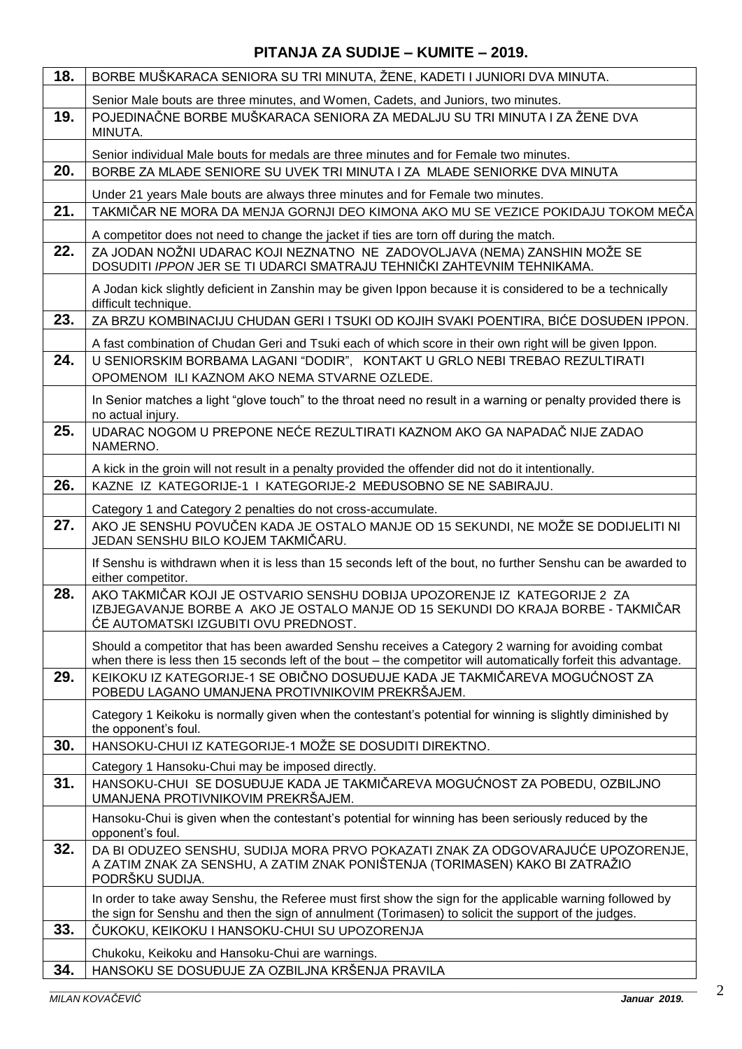| 18. | BORBE MUŠKARACA SENIORA SU TRI MINUTA, ŽENE, KADETI I JUNIORI DVA MINUTA.                                                                                                                                             |
|-----|-----------------------------------------------------------------------------------------------------------------------------------------------------------------------------------------------------------------------|
|     | Senior Male bouts are three minutes, and Women, Cadets, and Juniors, two minutes.                                                                                                                                     |
| 19. | POJEDINAČNE BORBE MUŠKARACA SENIORA ZA MEDALJU SU TRI MINUTA I ZA ŽENE DVA<br>MINUTA.                                                                                                                                 |
|     | Senior individual Male bouts for medals are three minutes and for Female two minutes.                                                                                                                                 |
| 20. | BORBE ZA MLAĐE SENIORE SU UVEK TRI MINUTA I ZA MLAĐE SENIORKE DVA MINUTA                                                                                                                                              |
|     | Under 21 years Male bouts are always three minutes and for Female two minutes.                                                                                                                                        |
| 21. | TAKMIČAR NE MORA DA MENJA GORNJI DEO KIMONA AKO MU SE VEZICE POKIDAJU TOKOM MEČA                                                                                                                                      |
|     | A competitor does not need to change the jacket if ties are torn off during the match.                                                                                                                                |
| 22. | ZA JODAN NOŽNI UDARAC KOJI NEZNATNO NE ZADOVOLJAVA (NEMA) ZANSHIN MOŽE SE<br>DOSUDITI IPPON JER SE TI UDARCI SMATRAJU TEHNIČKI ZAHTEVNIM TEHNIKAMA.                                                                   |
|     | A Jodan kick slightly deficient in Zanshin may be given Ippon because it is considered to be a technically<br>difficult technique.                                                                                    |
| 23. | ZA BRZU KOMBINACIJU CHUDAN GERI I TSUKI OD KOJIH SVAKI POENTIRA, BIĆE DOSUĐEN IPPON.                                                                                                                                  |
|     | A fast combination of Chudan Geri and Tsuki each of which score in their own right will be given Ippon.                                                                                                               |
| 24. | U SENIORSKIM BORBAMA LAGANI "DODIR", KONTAKT U GRLO NEBI TREBAO REZULTIRATI                                                                                                                                           |
|     | OPOMENOM ILI KAZNOM AKO NEMA STVARNE OZLEDE.                                                                                                                                                                          |
|     | In Senior matches a light "glove touch" to the throat need no result in a warning or penalty provided there is<br>no actual injury.                                                                                   |
| 25. | UDARAC NOGOM U PREPONE NEĆE REZULTIRATI KAZNOM AKO GA NAPADAČ NIJE ZADAO<br>NAMERNO.                                                                                                                                  |
|     | A kick in the groin will not result in a penalty provided the offender did not do it intentionally.                                                                                                                   |
| 26. | KAZNE IZ KATEGORIJE-1 I KATEGORIJE-2 MEĐUSOBNO SE NE SABIRAJU.                                                                                                                                                        |
|     | Category 1 and Category 2 penalties do not cross-accumulate.                                                                                                                                                          |
| 27. | AKO JE SENSHU POVUČEN KADA JE OSTALO MANJE OD 15 SEKUNDI, NE MOŽE SE DODIJELITI NI<br>JEDAN SENSHU BILO KOJEM TAKMIČARU.                                                                                              |
|     | If Senshu is withdrawn when it is less than 15 seconds left of the bout, no further Senshu can be awarded to<br>either competitor.                                                                                    |
| 28. | AKO TAKMIČAR KOJI JE OSTVARIO SENSHU DOBIJA UPOZORENJE IZ KATEGORIJE 2 ZA<br>IZBJEGAVANJE BORBE A AKO JE OSTALO MANJE OD 15 SEKUNDI DO KRAJA BORBE - TAKMIČAR<br>CE AUTOMATSKI IZGUBITI OVU PREDNOST.                 |
|     | Should a competitor that has been awarded Senshu receives a Category 2 warning for avoiding combat<br>when there is less then 15 seconds left of the bout – the competitor will automatically forfeit this advantage. |
| 29. | KEIKOKU IZ KATEGORIJE-1 SE OBIČNO DOSUĐUJE KADA JE TAKMIČAREVA MOGUĆNOST ZA<br>POBEDU LAGANO UMANJENA PROTIVNIKOVIM PREKRŠAJEM.                                                                                       |
|     | Category 1 Keikoku is normally given when the contestant's potential for winning is slightly diminished by<br>the opponent's foul.                                                                                    |
| 30. | HANSOKU-CHUI IZ KATEGORIJE-1 MOŽE SE DOSUDITI DIREKTNO.                                                                                                                                                               |
|     | Category 1 Hansoku-Chui may be imposed directly.                                                                                                                                                                      |
| 31. | HANSOKU-CHUI SE DOSUĐUJE KADA JE TAKMIČAREVA MOGUĆNOST ZA POBEDU, OZBILJNO<br>UMANJENA PROTIVNIKOVIM PREKRŠAJEM.                                                                                                      |
|     | Hansoku-Chui is given when the contestant's potential for winning has been seriously reduced by the<br>opponent's foul.                                                                                               |
| 32. | DA BI ODUZEO SENSHU, SUDIJA MORA PRVO POKAZATI ZNAK ZA ODGOVARAJUĆE UPOZORENJE,<br>A ZATIM ZNAK ZA SENSHU, A ZATIM ZNAK PONIŠTENJA (TORIMASEN) KAKO BI ZATRAŽIO<br>PODRŠKU SUDIJA.                                    |
|     | In order to take away Senshu, the Referee must first show the sign for the applicable warning followed by<br>the sign for Senshu and then the sign of annulment (Torimasen) to solicit the support of the judges.     |
| 33. | ČUKOKU, KEIKOKU I HANSOKU-CHUI SU UPOZORENJA                                                                                                                                                                          |
|     | Chukoku, Keikoku and Hansoku-Chui are warnings.                                                                                                                                                                       |
| 34. | HANSOKU SE DOSUĐUJE ZA OZBILJNA KRŠENJA PRAVILA                                                                                                                                                                       |
|     |                                                                                                                                                                                                                       |

2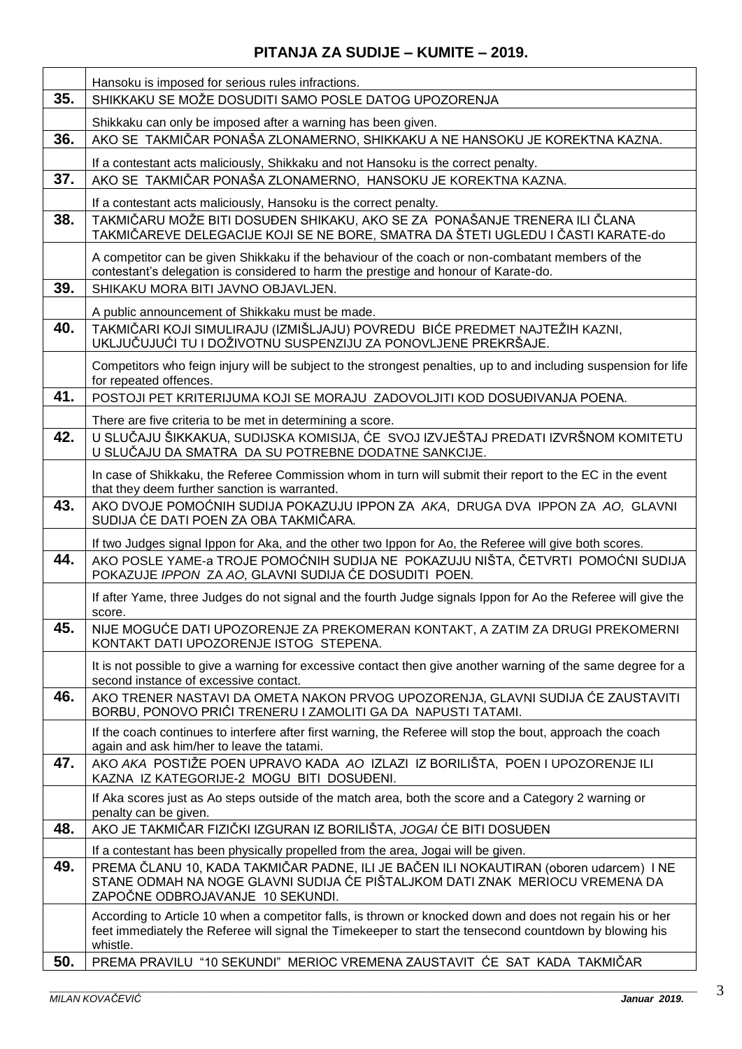|     | Hansoku is imposed for serious rules infractions.                                                                                                                                                                                |
|-----|----------------------------------------------------------------------------------------------------------------------------------------------------------------------------------------------------------------------------------|
| 35. | SHIKKAKU SE MOŽE DOSUDITI SAMO POSLE DATOG UPOZORENJA                                                                                                                                                                            |
|     | Shikkaku can only be imposed after a warning has been given.                                                                                                                                                                     |
| 36. | AKO SE TAKMIČAR PONAŠA ZLONAMERNO, SHIKKAKU A NE HANSOKU JE KOREKTNA KAZNA.                                                                                                                                                      |
|     | If a contestant acts maliciously, Shikkaku and not Hansoku is the correct penalty.                                                                                                                                               |
| 37. | AKO SE TAKMIČAR PONAŠA ZLONAMERNO, HANSOKU JE KOREKTNA KAZNA.                                                                                                                                                                    |
|     | If a contestant acts maliciously, Hansoku is the correct penalty.                                                                                                                                                                |
| 38. | TAKMIČARU MOŽE BITI DOSUĐEN SHIKAKU, AKO SE ZA PONAŠANJE TRENERA ILI ČLANA<br>TAKMIČAREVE DELEGACIJE KOJI SE NE BORE, SMATRA DA ŠTETI UGLEDU I ČASTI KARATE-do                                                                   |
|     | A competitor can be given Shikkaku if the behaviour of the coach or non-combatant members of the<br>contestant's delegation is considered to harm the prestige and honour of Karate-do.                                          |
| 39. | SHIKAKU MORA BITI JAVNO OBJAVLJEN.                                                                                                                                                                                               |
|     | A public announcement of Shikkaku must be made.                                                                                                                                                                                  |
| 40. | TAKMIČARI KOJI SIMULIRAJU (IZMIŠLJAJU) POVREDU BIĆE PREDMET NAJTEŽIH KAZNI,<br>UKLJUČUJUĆI TU I DOŽIVOTNU SUSPENZIJU ZA PONOVLJENE PREKRŠAJE.                                                                                    |
|     | Competitors who feign injury will be subject to the strongest penalties, up to and including suspension for life<br>for repeated offences.                                                                                       |
| 41. | POSTOJI PET KRITERIJUMA KOJI SE MORAJU ZADOVOLJITI KOD DOSUĐIVANJA POENA.                                                                                                                                                        |
|     | There are five criteria to be met in determining a score.                                                                                                                                                                        |
| 42. | U SLUČAJU ŠIKKAKUA, SUDIJSKA KOMISIJA, ĆE SVOJ IZVJEŠTAJ PREDATI IZVRŠNOM KOMITETU<br>U SLUČAJU DA SMATRA DA SU POTREBNE DODATNE SANKCIJE.                                                                                       |
|     | In case of Shikkaku, the Referee Commission whom in turn will submit their report to the EC in the event<br>that they deem further sanction is warranted.                                                                        |
| 43. | AKO DVOJE POMOĆNIH SUDIJA POKAZUJU IPPON ZA AKA, DRUGA DVA IPPON ZA AO, GLAVNI<br>SUDIJA ĆE DATI POEN ZA OBA TAKMIČARA.                                                                                                          |
|     | If two Judges signal Ippon for Aka, and the other two Ippon for Ao, the Referee will give both scores.                                                                                                                           |
| 44. | AKO POSLE YAME-a TROJE POMOĆNIH SUDIJA NE POKAZUJU NIŠTA, ČETVRTI POMOĆNI SUDIJA<br>POKAZUJE IPPON ZA AO, GLAVNI SUDIJA ĆE DOSUDITI POEN.                                                                                        |
|     | If after Yame, three Judges do not signal and the fourth Judge signals Ippon for Ao the Referee will give the<br>score.                                                                                                          |
| 45. | NIJE MOGUĆE DATI UPOZORENJE ZA PREKOMERAN KONTAKT, A ZATIM ZA DRUGI PREKOMERNI<br>KONTAKT DATI UPOZORENJE ISTOG STEPENA.                                                                                                         |
|     | It is not possible to give a warning for excessive contact then give another warning of the same degree for a<br>second instance of excessive contact.                                                                           |
| 46. | AKO TRENER NASTAVI DA OMETA NAKON PRVOG UPOZORENJA, GLAVNI SUDIJA ĆE ZAUSTAVITI<br>BORBU, PONOVO PRIĆI TRENERU I ZAMOLITI GA DA NAPUSTI TATAMI.                                                                                  |
|     | If the coach continues to interfere after first warning, the Referee will stop the bout, approach the coach<br>again and ask him/her to leave the tatami.                                                                        |
| 47. | AKO AKA POSTIŽE POEN UPRAVO KADA AO IZLAZI IZ BORILIŠTA, POEN I UPOZORENJE ILI<br>KAZNA IZ KATEGORIJE-2 MOGU BITI DOSUĐENI.                                                                                                      |
|     | If Aka scores just as Ao steps outside of the match area, both the score and a Category 2 warning or<br>penalty can be given.                                                                                                    |
| 48. | AKO JE TAKMIČAR FIZIČKI IZGURAN IZ BORILIŠTA, JOGAI ĆE BITI DOSUĐEN                                                                                                                                                              |
|     | If a contestant has been physically propelled from the area, Jogai will be given.                                                                                                                                                |
| 49. | PREMA ČLANU 10, KADA TAKMIČAR PADNE, ILI JE BAČEN ILI NOKAUTIRAN (oboren udarcem) I NE<br>STANE ODMAH NA NOGE GLAVNI SUDIJA ĆE PIŠTALJKOM DATI ZNAK MERIOCU VREMENA DA<br>ZAPOČNE ODBROJAVANJE 10 SEKUNDI.                       |
|     | According to Article 10 when a competitor falls, is thrown or knocked down and does not regain his or her<br>feet immediately the Referee will signal the Timekeeper to start the tensecond countdown by blowing his<br>whistle. |
| 50. | PREMA PRAVILU "10 SEKUNDI" MERIOC VREMENA ZAUSTAVIT ĆE SAT KADA TAKMIČAR                                                                                                                                                         |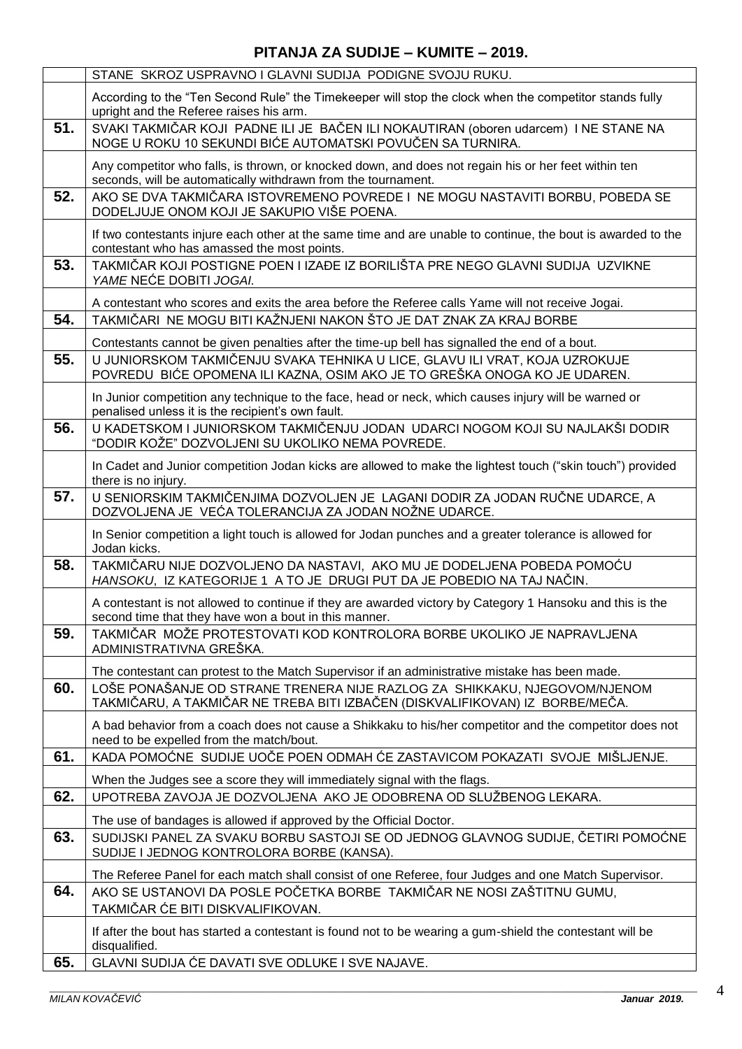|     | STANE SKROZ USPRAVNO I GLAVNI SUDIJA PODIGNE SVOJU RUKU.                                                                                                              |
|-----|-----------------------------------------------------------------------------------------------------------------------------------------------------------------------|
|     | According to the "Ten Second Rule" the Timekeeper will stop the clock when the competitor stands fully<br>upright and the Referee raises his arm.                     |
| 51. | SVAKI TAKMIČAR KOJI PADNE ILI JE BAČEN ILI NOKAUTIRAN (oboren udarcem) I NE STANE NA<br>NOGE U ROKU 10 SEKUNDI BIĆE AUTOMATSKI POVUČEN SA TURNIRA.                    |
|     | Any competitor who falls, is thrown, or knocked down, and does not regain his or her feet within ten<br>seconds, will be automatically withdrawn from the tournament. |
| 52. | AKO SE DVA TAKMIČARA ISTOVREMENO POVREDE I NE MOGU NASTAVITI BORBU, POBEDA SE<br>DODELJUJE ONOM KOJI JE SAKUPIO VIŠE POENA.                                           |
|     | If two contestants injure each other at the same time and are unable to continue, the bout is awarded to the<br>contestant who has amassed the most points.           |
| 53. | TAKMIČAR KOJI POSTIGNE POEN I IZAĐE IZ BORILIŠTA PRE NEGO GLAVNI SUDIJA UZVIKNE<br>YAME NEĆE DOBITI JOGAI.                                                            |
|     | A contestant who scores and exits the area before the Referee calls Yame will not receive Jogai.                                                                      |
| 54. | TAKMIČARI NE MOGU BITI KAŽNJENI NAKON ŠTO JE DAT ZNAK ZA KRAJ BORBE                                                                                                   |
|     | Contestants cannot be given penalties after the time-up bell has signalled the end of a bout.                                                                         |
| 55. | U JUNIORSKOM TAKMIČENJU SVAKA TEHNIKA U LICE, GLAVU ILI VRAT, KOJA UZROKUJE                                                                                           |
|     | POVREDU BIĆE OPOMENA ILI KAZNA, OSIM AKO JE TO GREŠKA ONOGA KO JE UDAREN.                                                                                             |
|     | In Junior competition any technique to the face, head or neck, which causes injury will be warned or                                                                  |
|     | penalised unless it is the recipient's own fault.                                                                                                                     |
| 56. | U KADETSKOM I JUNIORSKOM TAKMIČENJU JODAN UDARCI NOGOM KOJI SU NAJLAKŠI DODIR<br>"DODIR KOŽE" DOZVOLJENI SU UKOLIKO NEMA POVREDE.                                     |
|     | In Cadet and Junior competition Jodan kicks are allowed to make the lightest touch ("skin touch") provided<br>there is no injury.                                     |
| 57. | U SENIORSKIM TAKMIČENJIMA DOZVOLJEN JE LAGANI DODIR ZA JODAN RUČNE UDARCE, A<br>DOZVOLJENA JE VEĆA TOLERANCIJA ZA JODAN NOŽNE UDARCE.                                 |
|     | In Senior competition a light touch is allowed for Jodan punches and a greater tolerance is allowed for<br>Jodan kicks.                                               |
| 58. | TAKMIČARU NIJE DOZVOLJENO DA NASTAVI, AKO MU JE DODELJENA POBEDA POMOĆU<br>HANSOKU, IZ KATEGORIJE 1 A TO JE DRUGI PUT DA JE POBEDIO NA TAJ NAČIN.                     |
|     | A contestant is not allowed to continue if they are awarded victory by Category 1 Hansoku and this is the<br>second time that they have won a bout in this manner.    |
| 59. | TAKMIČAR MOŽE PROTESTOVATI KOD KONTROLORA BORBE UKOLIKO JE NAPRAVLJENA<br>ADMINISTRATIVNA GREŠKA.                                                                     |
|     | The contestant can protest to the Match Supervisor if an administrative mistake has been made.                                                                        |
| 60. | LOŠE PONAŠANJE OD STRANE TRENERA NIJE RAZLOG ZA SHIKKAKU, NJEGOVOM/NJENOM<br>TAKMIČARU, A TAKMIČAR NE TREBA BITI IZBAČEN (DISKVALIFIKOVAN) IZ BORBE/MEČA.             |
|     | A bad behavior from a coach does not cause a Shikkaku to his/her competitor and the competitor does not<br>need to be expelled from the match/bout.                   |
| 61. | KADA POMOĆNE SUDIJE UOČE POEN ODMAH ĆE ZASTAVICOM POKAZATI SVOJE MIŠLJENJE.                                                                                           |
|     | When the Judges see a score they will immediately signal with the flags.                                                                                              |
| 62. | UPOTREBA ZAVOJA JE DOZVOLJENA AKO JE ODOBRENA OD SLUŽBENOG LEKARA.                                                                                                    |
|     | The use of bandages is allowed if approved by the Official Doctor.                                                                                                    |
| 63. | SUDIJSKI PANEL ZA SVAKU BORBU SASTOJI SE OD JEDNOG GLAVNOG SUDIJE, ČETIRI POMOĆNE                                                                                     |
|     | SUDIJE I JEDNOG KONTROLORA BORBE (KANSA).                                                                                                                             |
|     | The Referee Panel for each match shall consist of one Referee, four Judges and one Match Supervisor.                                                                  |
| 64. | AKO SE USTANOVI DA POSLE POČETKA BORBE TAKMIČAR NE NOSI ZAŠTITNU GUMU,<br>TAKMIČAR ĆE BITI DISKVALIFIKOVAN.                                                           |
|     |                                                                                                                                                                       |
|     | If after the bout has started a contestant is found not to be wearing a gum-shield the contestant will be<br>disqualified.                                            |
| 65. | GLAVNI SUDIJA ĆE DAVATI SVE ODLUKE I SVE NAJAVE.                                                                                                                      |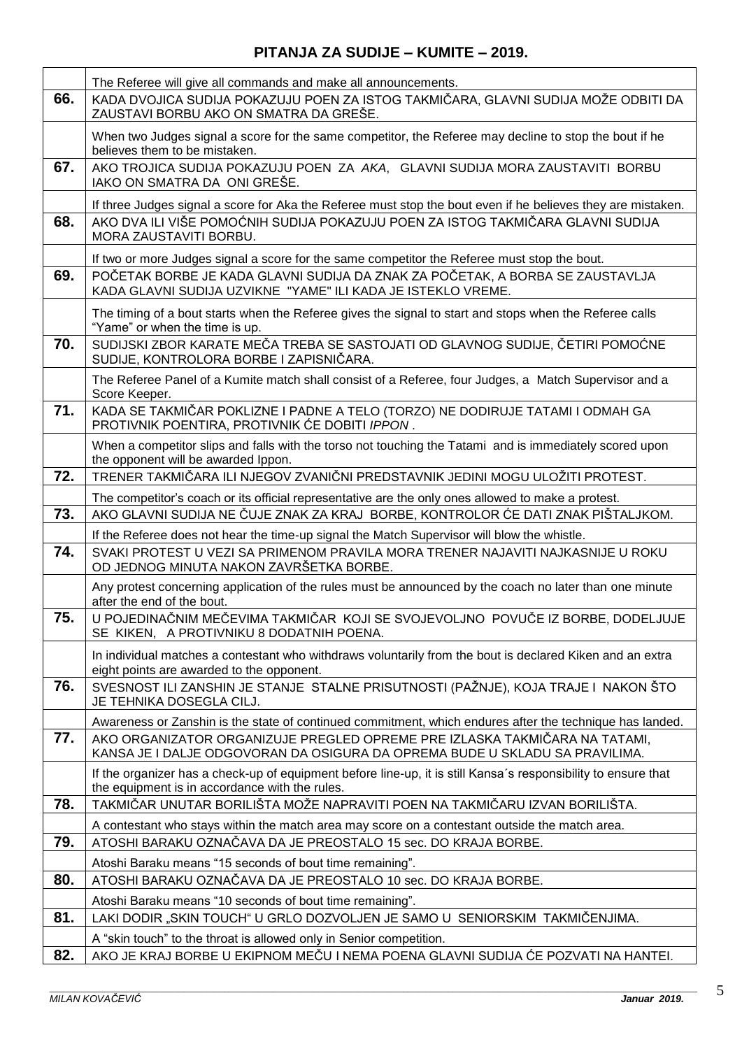|     | The Referee will give all commands and make all announcements.                                                                                                   |
|-----|------------------------------------------------------------------------------------------------------------------------------------------------------------------|
| 66. | KADA DVOJICA SUDIJA POKAZUJU POEN ZA ISTOG TAKMIČARA, GLAVNI SUDIJA MOŽE ODBITI DA<br>ZAUSTAVI BORBU AKO ON SMATRA DA GREŠE.                                     |
|     | When two Judges signal a score for the same competitor, the Referee may decline to stop the bout if he<br>believes them to be mistaken.                          |
| 67. | AKO TROJICA SUDIJA POKAZUJU POEN ZA AKA, GLAVNI SUDIJA MORA ZAUSTAVITI BORBU<br>IAKO ON SMATRA DA ONI GREŠE.                                                     |
|     | If three Judges signal a score for Aka the Referee must stop the bout even if he believes they are mistaken.                                                     |
| 68. | AKO DVA ILI VIŠE POMOĆNIH SUDIJA POKAZUJU POEN ZA ISTOG TAKMIČARA GLAVNI SUDIJA<br>MORA ZAUSTAVITI BORBU.                                                        |
|     | If two or more Judges signal a score for the same competitor the Referee must stop the bout.                                                                     |
| 69. | POČETAK BORBE JE KADA GLAVNI SUDIJA DA ZNAK ZA POČETAK, A BORBA SE ZAUSTAVLJA<br>KADA GLAVNI SUDIJA UZVIKNE "YAME" ILI KADA JE ISTEKLO VREME.                    |
|     | The timing of a bout starts when the Referee gives the signal to start and stops when the Referee calls<br>"Yame" or when the time is up.                        |
| 70. | SUDIJSKI ZBOR KARATE MEČA TREBA SE SASTOJATI OD GLAVNOG SUDIJE, ČETIRI POMOĆNE<br>SUDIJE, KONTROLORA BORBE I ZAPISNIČARA.                                        |
|     | The Referee Panel of a Kumite match shall consist of a Referee, four Judges, a Match Supervisor and a<br>Score Keeper.                                           |
| 71. | KADA SE TAKMIČAR POKLIZNE I PADNE A TELO (TORZO) NE DODIRUJE TATAMI I ODMAH GA<br>PROTIVNIK POENTIRA, PROTIVNIK ĆE DOBITI IPPON.                                 |
|     | When a competitor slips and falls with the torso not touching the Tatami and is immediately scored upon<br>the opponent will be awarded Ippon.                   |
| 72. | TRENER TAKMIČARA ILI NJEGOV ZVANIČNI PREDSTAVNIK JEDINI MOGU ULOŽITI PROTEST.                                                                                    |
|     | The competitor's coach or its official representative are the only ones allowed to make a protest.                                                               |
| 73. | AKO GLAVNI SUDIJA NE ČUJE ZNAK ZA KRAJ BORBE, KONTROLOR ĆE DATI ZNAK PIŠTALJKOM.                                                                                 |
|     | If the Referee does not hear the time-up signal the Match Supervisor will blow the whistle.                                                                      |
| 74. | SVAKI PROTEST U VEZI SA PRIMENOM PRAVILA MORA TRENER NAJAVITI NAJKASNIJE U ROKU<br>OD JEDNOG MINUTA NAKON ZAVRŠETKA BORBE.                                       |
|     | Any protest concerning application of the rules must be announced by the coach no later than one minute<br>after the end of the bout.                            |
| 75. | U POJEDINAČNIM MEČEVIMA TAKMIČAR KOJI SE SVOJEVOLJNO POVUČE IZ BORBE, DODELJUJE<br>SE KIKEN, A PROTIVNIKU 8 DODATNIH POENA.                                      |
|     | In individual matches a contestant who withdraws voluntarily from the bout is declared Kiken and an extra<br>eight points are awarded to the opponent.           |
| 76. | SVESNOST ILI ZANSHIN JE STANJE STALNE PRISUTNOSTI (PAŽNJE), KOJA TRAJE I NAKON ŠTO<br>JE TEHNIKA DOSEGLA CILJ.                                                   |
|     | Awareness or Zanshin is the state of continued commitment, which endures after the technique has landed.                                                         |
| 77. | AKO ORGANIZATOR ORGANIZUJE PREGLED OPREME PRE IZLASKA TAKMIČARA NA TATAMI,<br>KANSA JE I DALJE ODGOVORAN DA OSIGURA DA OPREMA BUDE U SKLADU SA PRAVILIMA.        |
|     | If the organizer has a check-up of equipment before line-up, it is still Kansa's responsibility to ensure that<br>the equipment is in accordance with the rules. |
| 78. | TAKMIČAR UNUTAR BORILIŠTA MOŽE NAPRAVITI POEN NA TAKMIČARU IZVAN BORILIŠTA.                                                                                      |
|     | A contestant who stays within the match area may score on a contestant outside the match area.                                                                   |
| 79. | ATOSHI BARAKU OZNAČAVA DA JE PREOSTALO 15 sec. DO KRAJA BORBE.                                                                                                   |
|     | Atoshi Baraku means "15 seconds of bout time remaining".                                                                                                         |
| 80. | ATOSHI BARAKU OZNAČAVA DA JE PREOSTALO 10 sec. DO KRAJA BORBE.                                                                                                   |
|     | Atoshi Baraku means "10 seconds of bout time remaining".                                                                                                         |
| 81. | LAKI DODIR "SKIN TOUCH" U GRLO DOZVOLJEN JE SAMO U SENIORSKIM TAKMIČENJIMA.                                                                                      |
|     | A "skin touch" to the throat is allowed only in Senior competition.                                                                                              |
| 82. | AKO JE KRAJ BORBE U EKIPNOM MEČU I NEMA POENA GLAVNI SUDIJA ĆE POZVATI NA HANTEI.                                                                                |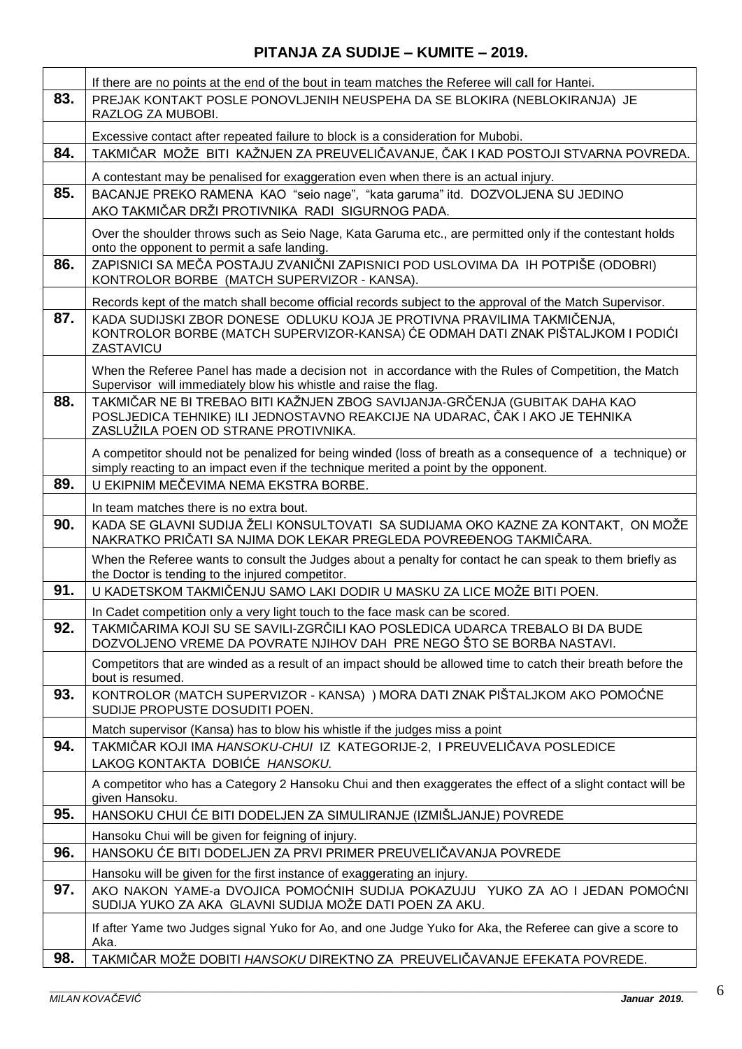|     | If there are no points at the end of the bout in team matches the Referee will call for Hantei.                                                                                                     |
|-----|-----------------------------------------------------------------------------------------------------------------------------------------------------------------------------------------------------|
| 83. | PREJAK KONTAKT POSLE PONOVLJENIH NEUSPEHA DA SE BLOKIRA (NEBLOKIRANJA) JE<br>RAZLOG ZA MUBOBI.                                                                                                      |
|     | Excessive contact after repeated failure to block is a consideration for Mubobi.                                                                                                                    |
| 84. | TAKMIČAR MOŽE BITI KAŽNJEN ZA PREUVELIČAVANJE, ČAK I KAD POSTOJI STVARNA POVREDA.                                                                                                                   |
|     | A contestant may be penalised for exaggeration even when there is an actual injury.                                                                                                                 |
| 85. | BACANJE PREKO RAMENA KAO "seio nage", "kata garuma" itd. DOZVOLJENA SU JEDINO<br>AKO TAKMIČAR DRŽI PROTIVNIKA RADI SIGURNOG PADA.                                                                   |
|     | Over the shoulder throws such as Seio Nage, Kata Garuma etc., are permitted only if the contestant holds<br>onto the opponent to permit a safe landing.                                             |
| 86. | ZAPISNICI SA MEČA POSTAJU ZVANIČNI ZAPISNICI POD USLOVIMA DA IH POTPIŠE (ODOBRI)<br>KONTROLOR BORBE (MATCH SUPERVIZOR - KANSA).                                                                     |
|     | Records kept of the match shall become official records subject to the approval of the Match Supervisor.                                                                                            |
| 87. | KADA SUDIJSKI ZBOR DONESE ODLUKU KOJA JE PROTIVNA PRAVILIMA TAKMIČENJA.<br>KONTROLOR BORBE (MATCH SUPERVIZOR-KANSA) ĆE ODMAH DATI ZNAK PIŠTALJKOM I PODIĆI<br>ZASTAVICU                             |
|     | When the Referee Panel has made a decision not in accordance with the Rules of Competition, the Match<br>Supervisor will immediately blow his whistle and raise the flag.                           |
| 88. | TAKMIČAR NE BI TREBAO BITI KAŽNJEN ZBOG SAVIJANJA-GRČENJA (GUBITAK DAHA KAO<br>POSLJEDICA TEHNIKE) ILI JEDNOSTAVNO REAKCIJE NA UDARAC, ČAK I AKO JE TEHNIKA<br>ZASLUŽILA POEN OD STRANE PROTIVNIKA. |
|     | A competitor should not be penalized for being winded (loss of breath as a consequence of a technique) or<br>simply reacting to an impact even if the technique merited a point by the opponent.    |
| 89. | U EKIPNIM MEČEVIMA NEMA EKSTRA BORBE.                                                                                                                                                               |
|     | In team matches there is no extra bout.                                                                                                                                                             |
| 90. | KADA SE GLAVNI SUDIJA ŽELI KONSULTOVATI SA SUDIJAMA OKO KAZNE ZA KONTAKT, ON MOŽE<br>NAKRATKO PRIČATI SA NJIMA DOK LEKAR PREGLEDA POVREĐENOG TAKMIČARA.                                             |
|     | When the Referee wants to consult the Judges about a penalty for contact he can speak to them briefly as<br>the Doctor is tending to the injured competitor.                                        |
| 91. | U KADETSKOM TAKMIČENJU SAMO LAKI DODIR U MASKU ZA LICE MOŽE BITI POEN.                                                                                                                              |
|     | In Cadet competition only a very light touch to the face mask can be scored.                                                                                                                        |
| 92  | TAKMIČARIMA KOJI SU SE SAVILI-ZGRČILI KAO POSLEDICA UDARCA TREBALO BI DA BUDE<br>DOZVOLJENO VREME DA POVRATE NJIHOV DAH PRE NEGO ŠTO SE BORBA NASTAVI.                                              |
|     | Competitors that are winded as a result of an impact should be allowed time to catch their breath before the<br>bout is resumed.                                                                    |
| 93. | KONTROLOR (MATCH SUPERVIZOR - KANSA) ) MORA DATI ZNAK PIŠTALJKOM AKO POMOĆNE<br>SUDIJE PROPUSTE DOSUDITI POEN.                                                                                      |
|     | Match supervisor (Kansa) has to blow his whistle if the judges miss a point                                                                                                                         |
| 94. | TAKMIČAR KOJI IMA <i>HANSOKU-CHUI</i> IZ KATEGORIJE-2, I PREUVELIČAVA POSLEDICE                                                                                                                     |
|     | LAKOG KONTAKTA DOBIĆE HANSOKU.                                                                                                                                                                      |
|     | A competitor who has a Category 2 Hansoku Chui and then exaggerates the effect of a slight contact will be<br>given Hansoku.                                                                        |
| 95. | HANSOKU CHUI ĆE BITI DODELJEN ZA SIMULIRANJE (IZMIŠLJANJE) POVREDE                                                                                                                                  |
|     | Hansoku Chui will be given for feigning of injury.                                                                                                                                                  |
| 96. | HANSOKU ĆE BITI DODELJEN ZA PRVI PRIMER PREUVELIČAVANJA POVREDE                                                                                                                                     |
|     | Hansoku will be given for the first instance of exaggerating an injury.                                                                                                                             |
| 97. | AKO NAKON YAME-a DVOJICA POMOĆNIH SUDIJA POKAZUJU YUKO ZA AO I JEDAN POMOĆNI<br>SUDIJA YUKO ZA AKA GLAVNI SUDIJA MOŽE DATI POEN ZA AKU.                                                             |
|     | If after Yame two Judges signal Yuko for Ao, and one Judge Yuko for Aka, the Referee can give a score to<br>Aka.                                                                                    |
| 98. | TAKMIČAR MOŽE DOBITI HANSOKU DIREKTNO ZA PREUVELIČAVANJE EFEKATA POVREDE.                                                                                                                           |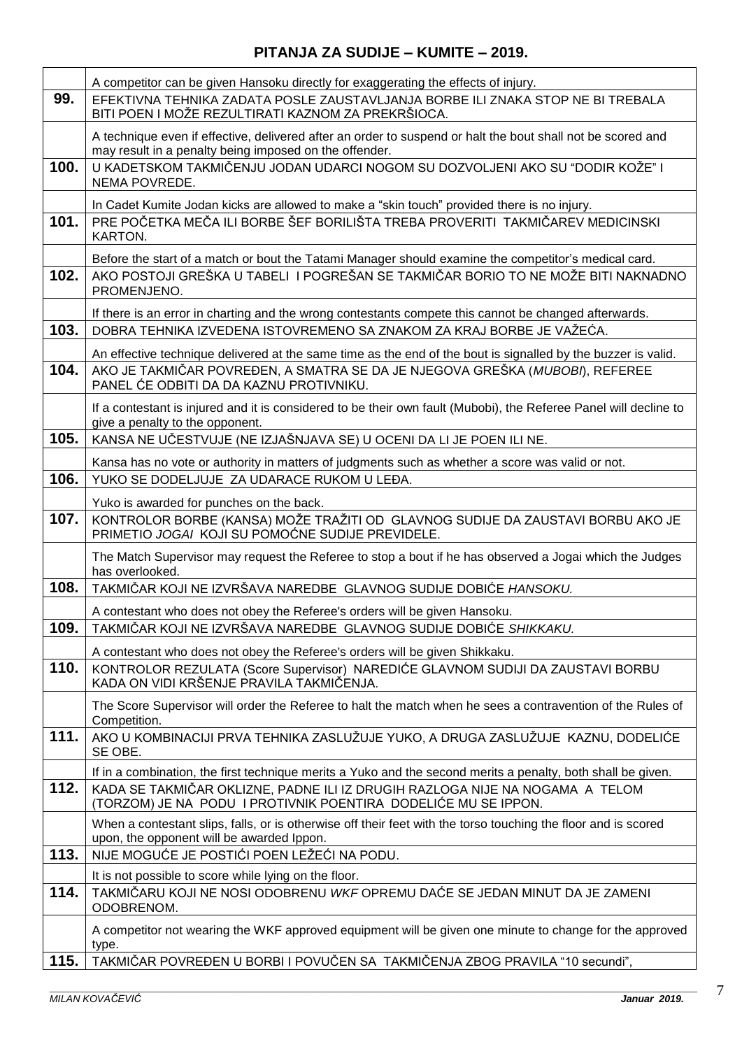|      | A competitor can be given Hansoku directly for exaggerating the effects of injury.                                                                                    |
|------|-----------------------------------------------------------------------------------------------------------------------------------------------------------------------|
| 99.  | EFEKTIVNA TEHNIKA ZADATA POSLE ZAUSTAVLJANJA BORBE ILI ZNAKA STOP NE BI TREBALA<br>BITI POEN I MOŽE REZULTIRATI KAZNOM ZA PREKRŠIOCA.                                 |
|      | A technique even if effective, delivered after an order to suspend or halt the bout shall not be scored and<br>may result in a penalty being imposed on the offender. |
| 100. | U KADETSKOM TAKMIČENJU JODAN UDARCI NOGOM SU DOZVOLJENI AKO SU "DODIR KOŽE" I<br>NEMA POVREDE.                                                                        |
|      | In Cadet Kumite Jodan kicks are allowed to make a "skin touch" provided there is no injury.                                                                           |
| 101. | PRE POČETKA MEČA ILI BORBE ŠEF BORILIŠTA TREBA PROVERITI TAKMIČAREV MEDICINSKI<br>KARTON.                                                                             |
|      | Before the start of a match or bout the Tatami Manager should examine the competitor's medical card.                                                                  |
| 102. | AKO POSTOJI GREŠKA U TABELI I POGREŠAN SE TAKMIČAR BORIO TO NE MOŽE BITI NAKNADNO<br>PROMENJENO.                                                                      |
|      | If there is an error in charting and the wrong contestants compete this cannot be changed afterwards.                                                                 |
| 103. | DOBRA TEHNIKA IZVEDENA ISTOVREMENO SA ZNAKOM ZA KRAJ BORBE JE VAŽEĆA.                                                                                                 |
|      | An effective technique delivered at the same time as the end of the bout is signalled by the buzzer is valid.                                                         |
| 104. | AKO JE TAKMIČAR POVREĐEN, A SMATRA SE DA JE NJEGOVA GREŠKA (MUBOBI), REFEREE<br>PANEL ĆE ODBITI DA DA KAZNU PROTIVNIKU.                                               |
|      | If a contestant is injured and it is considered to be their own fault (Mubobi), the Referee Panel will decline to<br>give a penalty to the opponent.                  |
| 105. | KANSA NE UČESTVUJE (NE IZJAŠNJAVA SE) U OCENI DA LI JE POEN ILI NE.                                                                                                   |
|      | Kansa has no vote or authority in matters of judgments such as whether a score was valid or not.                                                                      |
| 106. | YUKO SE DODELJUJE ZA UDARACE RUKOM U LEĐA.                                                                                                                            |
|      | Yuko is awarded for punches on the back.                                                                                                                              |
| 107. | KONTROLOR BORBE (KANSA) MOŽE TRAŽITI OD GLAVNOG SUDIJE DA ZAUSTAVI BORBU AKO JE<br>PRIMETIO JOGAI KOJI SU POMOĆNE SUDIJE PREVIDELE.                                   |
|      | The Match Supervisor may request the Referee to stop a bout if he has observed a Jogai which the Judges<br>has overlooked.                                            |
| 108. | TAKMIČAR KOJI NE IZVRŠAVA NAREDBE GLAVNOG SUDIJE DOBIĆE HANSOKU.                                                                                                      |
|      | A contestant who does not obey the Referee's orders will be given Hansoku.                                                                                            |
| 109. | TAKMIČAR KOJI NE IZVRŠAVA NAREDBE GLAVNOG SUDIJE DOBIĆE SHIKKAKU.                                                                                                     |
|      | A contestant who does not obey the Referee's orders will be given Shikkaku.                                                                                           |
| 110. | KONTROLOR REZULATA (Score Supervisor) NAREDIĆE GLAVNOM SUDIJI DA ZAUSTAVI BORBU<br>KADA ON VIDI KRŠENJE PRAVILA TAKMIČENJA.                                           |
|      | The Score Supervisor will order the Referee to halt the match when he sees a contravention of the Rules of<br>Competition.                                            |
| 111. | AKO U KOMBINACIJI PRVA TEHNIKA ZASLUŽUJE YUKO, A DRUGA ZASLUŽUJE KAZNU, DODELIĆE<br>SE OBE.                                                                           |
|      | If in a combination, the first technique merits a Yuko and the second merits a penalty, both shall be given.                                                          |
| 112. | KADA SE TAKMIČAR OKLIZNE, PADNE ILI IZ DRUGIH RAZLOGA NIJE NA NOGAMA A TELOM<br>(TORZOM) JE NA PODU I PROTIVNIK POENTIRA DODELIĆE MU SE IPPON.                        |
|      | When a contestant slips, falls, or is otherwise off their feet with the torso touching the floor and is scored<br>upon, the opponent will be awarded Ippon.           |
| 113. | NIJE MOGUĆE JE POSTIĆI POEN LEŽEĆI NA PODU.                                                                                                                           |
|      | It is not possible to score while lying on the floor.                                                                                                                 |
| 114. | TAKMIČARU KOJI NE NOSI ODOBRENU WKF OPREMU DAĆE SE JEDAN MINUT DA JE ZAMENI<br>ODOBRENOM.                                                                             |
|      | A competitor not wearing the WKF approved equipment will be given one minute to change for the approved<br>type.                                                      |
| 115. | TAKMIČAR POVREĐEN U BORBI I POVUČEN SA TAKMIČENJA ZBOG PRAVILA "10 secundi",                                                                                          |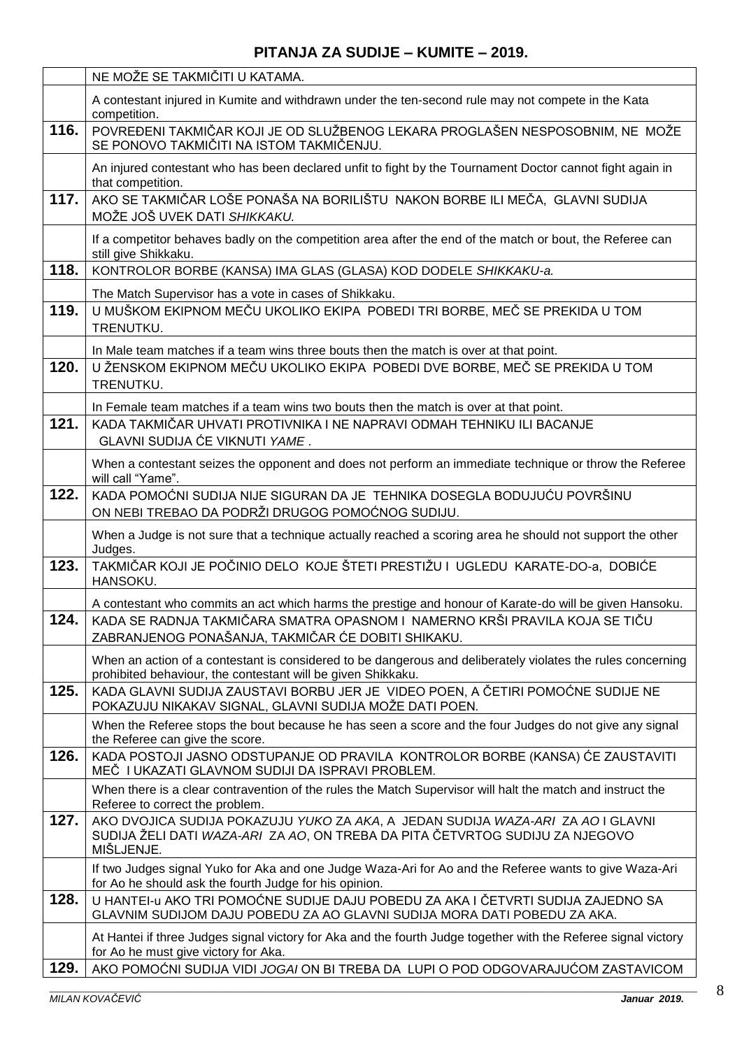|      | NE MOŽE SE TAKMIČITI U KATAMA.                                                                                                                                                |
|------|-------------------------------------------------------------------------------------------------------------------------------------------------------------------------------|
|      | A contestant injured in Kumite and withdrawn under the ten-second rule may not compete in the Kata<br>competition.                                                            |
| 116. | POVREĐENI TAKMIČAR KOJI JE OD SLUŽBENOG LEKARA PROGLAŠEN NESPOSOBNIM, NE MOŽE<br>SE PONOVO TAKMIČITI NA ISTOM TAKMIČENJU.                                                     |
|      | An injured contestant who has been declared unfit to fight by the Tournament Doctor cannot fight again in<br>that competition.                                                |
| 117. | AKO SE TAKMIČAR LOŠE PONAŠA NA BORILIŠTU NAKON BORBE ILI MEČA, GLAVNI SUDIJA<br>MOŽE JOŠ UVEK DATI SHIKKAKU.                                                                  |
|      | If a competitor behaves badly on the competition area after the end of the match or bout, the Referee can<br>still give Shikkaku.                                             |
| 118. | KONTROLOR BORBE (KANSA) IMA GLAS (GLASA) KOD DODELE SHIKKAKU-a.                                                                                                               |
|      | The Match Supervisor has a vote in cases of Shikkaku.                                                                                                                         |
| 119. | U MUŠKOM EKIPNOM MEČU UKOLIKO EKIPA POBEDI TRI BORBE, MEČ SE PREKIDA U TOM<br>TRENUTKU.                                                                                       |
|      | In Male team matches if a team wins three bouts then the match is over at that point.                                                                                         |
| 120. | U ŽENSKOM EKIPNOM MEČU UKOLIKO EKIPA POBEDI DVE BORBE, MEČ SE PREKIDA U TOM<br>TRENUTKU.                                                                                      |
|      | In Female team matches if a team wins two bouts then the match is over at that point.                                                                                         |
| 121. | KADA TAKMIČAR UHVATI PROTIVNIKA I NE NAPRAVI ODMAH TEHNIKU ILI BACANJE<br>GLAVNI SUDIJA ĆE VIKNUTI YAME.                                                                      |
|      | When a contestant seizes the opponent and does not perform an immediate technique or throw the Referee<br>will call "Yame".                                                   |
| 122. | KADA POMOĆNI SUDIJA NIJE SIGURAN DA JE TEHNIKA DOSEGLA BODUJUĆU POVRŠINU<br>ON NEBI TREBAO DA PODRŽI DRUGOG POMOĆNOG SUDIJU.                                                  |
|      | When a Judge is not sure that a technique actually reached a scoring area he should not support the other<br>Judges.                                                          |
| 123. | TAKMIČAR KOJI JE POČINIO DELO KOJE ŠTETI PRESTIŽU I UGLEDU KARATE-DO-a, DOBIĆE<br>HANSOKU.                                                                                    |
|      | A contestant who commits an act which harms the prestige and honour of Karate-do will be given Hansoku.                                                                       |
| 124. | KADA SE RADNJA TAKMIČARA SMATRA OPASNOM I NAMERNO KRŠI PRAVILA KOJA SE TIČU<br>ZABRANJENOG PONAŠANJA, TAKMIČAR ĆE DOBITI SHIKAKU.                                             |
|      | When an action of a contestant is considered to be dangerous and deliberately violates the rules concerning<br>prohibited behaviour, the contestant will be given Shikkaku.   |
| 125. | KADA GLAVNI SUDIJA ZAUSTAVI BORBU JER JE VIDEO POEN, A ČETIRI POMOĆNE SUDIJE NE<br>POKAZUJU NIKAKAV SIGNAL, GLAVNI SUDIJA MOŽE DATI POEN.                                     |
|      | When the Referee stops the bout because he has seen a score and the four Judges do not give any signal<br>the Referee can give the score.                                     |
| 126. | KADA POSTOJI JASNO ODSTUPANJE OD PRAVILA KONTROLOR BORBE (KANSA) ĆE ZAUSTAVITI<br>MEČ I UKAZATI GLAVNOM SUDIJI DA ISPRAVI PROBLEM.                                            |
|      | When there is a clear contravention of the rules the Match Supervisor will halt the match and instruct the<br>Referee to correct the problem.                                 |
| 127. | AKO DVOJICA SUDIJA POKAZUJU YUKO ZA AKA, A JEDAN SUDIJA WAZA-ARI ZA AO I GLAVNI<br>SUDIJA ŽELI DATI WAZA-ARI ZA AO, ON TREBA DA PITA ČETVRTOG SUDIJU ZA NJEGOVO<br>MIŠLJENJE. |
|      | If two Judges signal Yuko for Aka and one Judge Waza-Ari for Ao and the Referee wants to give Waza-Ari<br>for Ao he should ask the fourth Judge for his opinion.              |
| 128. | U HANTEI-U AKO TRI POMOĆNE SUDIJE DAJU POBEDU ZA AKA I ČETVRTI SUDIJA ZAJEDNO SA<br>GLAVNIM SUDIJOM DAJU POBEDU ZA AO GLAVNI SUDIJA MORA DATI POBEDU ZA AKA.                  |
|      | At Hantei if three Judges signal victory for Aka and the fourth Judge together with the Referee signal victory<br>for Ao he must give victory for Aka.                        |
| 129. | AKO POMOĆNI SUDIJA VIDI JOGAI ON BI TREBA DA LUPI O POD ODGOVARAJUĆOM ZASTAVICOM                                                                                              |
|      |                                                                                                                                                                               |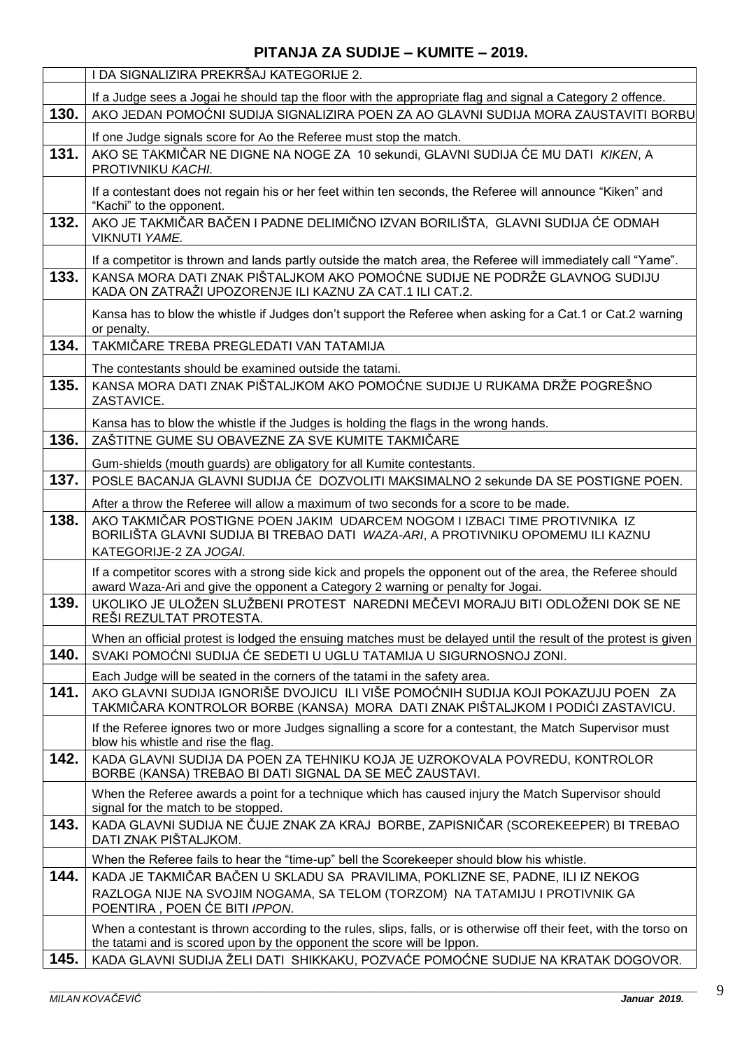|      | I DA SIGNALIZIRA PREKRŠAJ KATEGORIJE 2.                                                                                                                                                        |
|------|------------------------------------------------------------------------------------------------------------------------------------------------------------------------------------------------|
|      | If a Judge sees a Jogai he should tap the floor with the appropriate flag and signal a Category 2 offence.                                                                                     |
| 130. | AKO JEDAN POMOĆNI SUDIJA SIGNALIZIRA POEN ZA AO GLAVNI SUDIJA MORA ZAUSTAVITI BORBU                                                                                                            |
|      | If one Judge signals score for Ao the Referee must stop the match.                                                                                                                             |
| 131. | AKO SE TAKMIČAR NE DIGNE NA NOGE ZA 10 sekundi, GLAVNI SUDIJA ĆE MU DATI KIKEN, A<br>PROTIVNIKU KACHI.                                                                                         |
|      | If a contestant does not regain his or her feet within ten seconds, the Referee will announce "Kiken" and<br>"Kachi" to the opponent.                                                          |
| 132. | AKO JE TAKMIČAR BAČEN I PADNE DELIMIČNO IZVAN BORILIŠTA, GLAVNI SUDIJA ĆE ODMAH<br>VIKNUTI YAME.                                                                                               |
|      | If a competitor is thrown and lands partly outside the match area, the Referee will immediately call "Yame".                                                                                   |
| 133. | KANSA MORA DATI ZNAK PIŠTALJKOM AKO POMOĆNE SUDIJE NE PODRŽE GLAVNOG SUDIJU                                                                                                                    |
|      | KADA ON ZATRAŽI UPOZORENJE ILI KAZNU ZA CAT.1 ILI CAT.2.                                                                                                                                       |
|      | Kansa has to blow the whistle if Judges don't support the Referee when asking for a Cat.1 or Cat.2 warning<br>or penalty.                                                                      |
| 134. | TAKMIČARE TREBA PREGLEDATI VAN TATAMIJA                                                                                                                                                        |
|      | The contestants should be examined outside the tatami.                                                                                                                                         |
| 135. | KANSA MORA DATI ZNAK PIŠTALJKOM AKO POMOĆNE SUDIJE U RUKAMA DRŽE POGREŠNO<br>ZASTAVICE.                                                                                                        |
|      | Kansa has to blow the whistle if the Judges is holding the flags in the wrong hands.                                                                                                           |
| 136. | ZAŠTITNE GUME SU OBAVEZNE ZA SVE KUMITE TAKMIČARE                                                                                                                                              |
|      | Gum-shields (mouth guards) are obligatory for all Kumite contestants.                                                                                                                          |
| 137. | POSLE BACANJA GLAVNI SUDIJA ĆE DOZVOLITI MAKSIMALNO 2 sekunde DA SE POSTIGNE POEN.                                                                                                             |
|      | After a throw the Referee will allow a maximum of two seconds for a score to be made.                                                                                                          |
| 138. | AKO TAKMIČAR POSTIGNE POEN JAKIM UDARCEM NOGOM I IZBACI TIME PROTIVNIKA IZ<br>BORILIŠTA GLAVNI SUDIJA BI TREBAO DATI WAZA-ARI, A PROTIVNIKU OPOMEMU ILI KAZNU                                  |
|      | KATEGORIJE-2 ZA JOGAI.                                                                                                                                                                         |
|      | If a competitor scores with a strong side kick and propels the opponent out of the area, the Referee should<br>award Waza-Ari and give the opponent a Category 2 warning or penalty for Jogai. |
| 139. | UKOLIKO JE ULOŽEN SLUŽBENI PROTEST NAREDNI MEČEVI MORAJU BITI ODLOŽENI DOK SE NE<br>REŠI REZULTAT PROTESTA.                                                                                    |
|      | When an official protest is lodged the ensuing matches must be delayed until the result of the protest is given                                                                                |
| 140. | SVAKI POMOĆNI SUDIJA ĆE SEDETI U UGLU TATAMIJA U SIGURNOSNOJ ZONI.                                                                                                                             |
|      | Each Judge will be seated in the corners of the tatami in the safety area.                                                                                                                     |
| 141. | AKO GLAVNI SUDIJA IGNORIŠE DVOJICU ILI VIŠE POMOĆNIH SUDIJA KOJI POKAZUJU POEN ZA<br>TAKMIČARA KONTROLOR BORBE (KANSA) MORA DATI ZNAK PIŠTALJKOM I PODIĆI ZASTAVICU.                           |
|      | If the Referee ignores two or more Judges signalling a score for a contestant, the Match Supervisor must<br>blow his whistle and rise the flag.                                                |
| 142. | KADA GLAVNI SUDIJA DA POEN ZA TEHNIKU KOJA JE UZROKOVALA POVREDU, KONTROLOR<br>BORBE (KANSA) TREBAO BI DATI SIGNAL DA SE MEČ ZAUSTAVI.                                                         |
|      | When the Referee awards a point for a technique which has caused injury the Match Supervisor should<br>signal for the match to be stopped.                                                     |
| 143. | KADA GLAVNI SUDIJA NE ČUJE ZNAK ZA KRAJ BORBE, ZAPISNIČAR (SCOREKEEPER) BI TREBAO<br>DATI ZNAK PIŠTALJKOM.                                                                                     |
|      | When the Referee fails to hear the "time-up" bell the Scorekeeper should blow his whistle.                                                                                                     |
| 144. | KADA JE TAKMIČAR BAČEN U SKLADU SA PRAVILIMA, POKLIZNE SE, PADNE, ILI IZ NEKOG                                                                                                                 |
|      | RAZLOGA NIJE NA SVOJIM NOGAMA, SA TELOM (TORZOM) NA TATAMIJU I PROTIVNIK GA<br>POENTIRA, POEN ĆE BITI IPPON.                                                                                   |
|      | When a contestant is thrown according to the rules, slips, falls, or is otherwise off their feet, with the torso on<br>the tatami and is scored upon by the opponent the score will be Ippon.  |
| 145. | KADA GLAVNI SUDIJA ŽELI DATI SHIKKAKU, POZVAĆE POMOĆNE SUDIJE NA KRATAK DOGOVOR.                                                                                                               |

9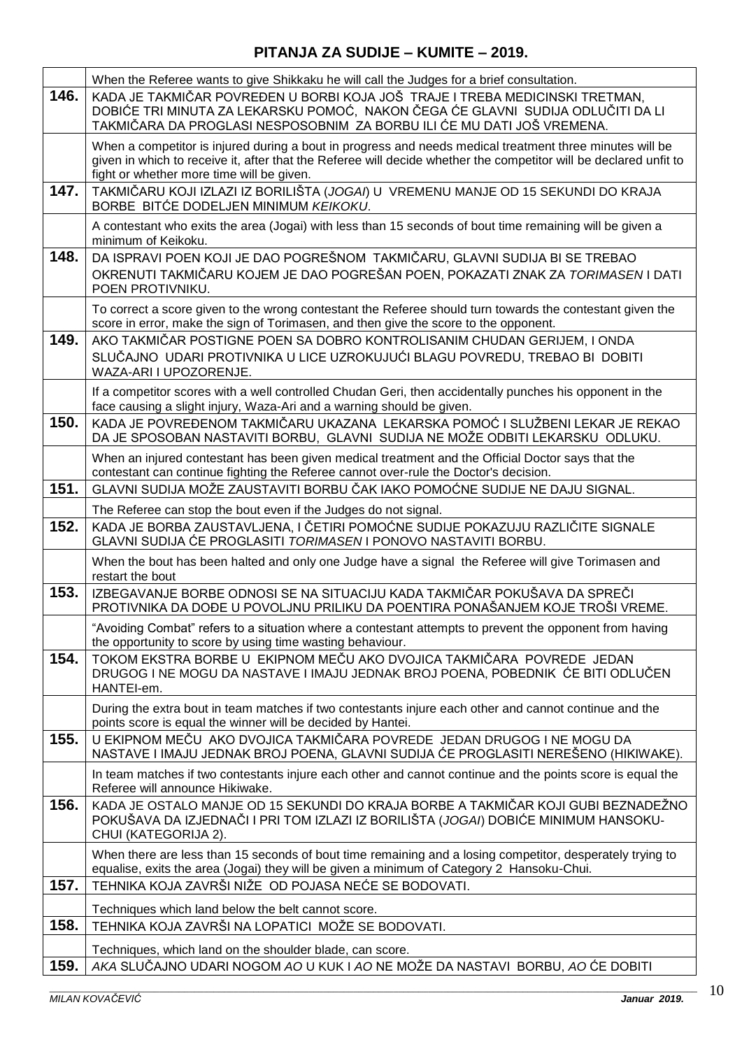|      | When the Referee wants to give Shikkaku he will call the Judges for a brief consultation.                                                                                                                                                                                  |
|------|----------------------------------------------------------------------------------------------------------------------------------------------------------------------------------------------------------------------------------------------------------------------------|
| 146. | KADA JE TAKMIČAR POVREĐEN U BORBI KOJA JOŠ TRAJE I TREBA MEDICINSKI TRETMAN,<br>DOBIĆE TRI MINUTA ZA LEKARSKU POMOĆ,  NAKON ČEGA ĆE GLAVNI  SUDIJA ODLUČITI DA LI<br>TAKMIČARA DA PROGLASI NESPOSOBNIM ZA BORBU ILI ĆE MU DATI JOŠ VREMENA.                                |
|      | When a competitor is injured during a bout in progress and needs medical treatment three minutes will be<br>given in which to receive it, after that the Referee will decide whether the competitor will be declared unfit to<br>fight or whether more time will be given. |
| 147. | TAKMIČARU KOJI IZLAZI IZ BORILIŠTA (JOGAI) U VREMENU MANJE OD 15 SEKUNDI DO KRAJA<br>BORBE BITĆE DODELJEN MINIMUM KEIKOKU.                                                                                                                                                 |
|      | A contestant who exits the area (Jogai) with less than 15 seconds of bout time remaining will be given a<br>minimum of Keikoku.                                                                                                                                            |
| 148. | DA ISPRAVI POEN KOJI JE DAO POGREŠNOM TAKMIČARU, GLAVNI SUDIJA BI SE TREBAO<br>OKRENUTI TAKMIČARU KOJEM JE DAO POGREŠAN POEN, POKAZATI ZNAK ZA TORIMASEN I DATI<br>POEN PROTIVNIKU.                                                                                        |
|      | To correct a score given to the wrong contestant the Referee should turn towards the contestant given the<br>score in error, make the sign of Torimasen, and then give the score to the opponent.                                                                          |
| 149. | AKO TAKMIČAR POSTIGNE POEN SA DOBRO KONTROLISANIM CHUDAN GERIJEM, I ONDA<br>SLUČAJNO UDARI PROTIVNIKA U LICE UZROKUJUĆI BLAGU POVREDU, TREBAO BI DOBITI<br>WAZA-ARI I UPOZORENJE.                                                                                          |
|      | If a competitor scores with a well controlled Chudan Geri, then accidentally punches his opponent in the<br>face causing a slight injury, Waza-Ari and a warning should be given.                                                                                          |
| 150. | KADA JE POVREĐENOM TAKMIČARU UKAZANA LEKARSKA POMOĆ I SLUŽBENI LEKAR JE REKAO<br>DA JE SPOSOBAN NASTAVITI BORBU, GLAVNI SUDIJA NE MOŽE ODBITI LEKARSKU ODLUKU.                                                                                                             |
|      | When an injured contestant has been given medical treatment and the Official Doctor says that the<br>contestant can continue fighting the Referee cannot over-rule the Doctor's decision.                                                                                  |
| 151. | GLAVNI SUDIJA MOŽE ZAUSTAVITI BORBU ČAK IAKO POMOĆNE SUDIJE NE DAJU SIGNAL.                                                                                                                                                                                                |
|      | The Referee can stop the bout even if the Judges do not signal.                                                                                                                                                                                                            |
| 152. | KADA JE BORBA ZAUSTAVLJENA, I ČETIRI POMOĆNE SUDIJE POKAZUJU RAZLIČITE SIGNALE<br>GLAVNI SUDIJA ĆE PROGLASITI TORIMASEN I PONOVO NASTAVITI BORBU.                                                                                                                          |
|      | When the bout has been halted and only one Judge have a signal the Referee will give Torimasen and<br>restart the bout                                                                                                                                                     |
| 153. | IZBEGAVANJE BORBE ODNOSI SE NA SITUACIJU KADA TAKMIČAR POKUŠAVA DA SPREČI<br><u>PROTIVNIKA DA DOĐE U POVOLJNU PRILIKU DA POENTIRA PONAŠANJEM KOJE TROŠI VREME.</u>                                                                                                         |
|      | "Avoiding Combat" refers to a situation where a contestant attempts to prevent the opponent from having<br>the opportunity to score by using time wasting behaviour.                                                                                                       |
| 154. | TOKOM EKSTRA BORBE U EKIPNOM MEČU AKO DVOJICA TAKMIČARA POVREDE JEDAN<br>DRUGOG I NE MOGU DA NASTAVE I IMAJU JEDNAK BROJ POENA, POBEDNIK ĆE BITI ODLUČEN<br>HANTEI-em.                                                                                                     |
|      | During the extra bout in team matches if two contestants injure each other and cannot continue and the<br>points score is equal the winner will be decided by Hantei.                                                                                                      |
| 155. | U EKIPNOM MEČU AKO DVOJICA TAKMIČARA POVREDE JEDAN DRUGOG I NE MOGU DA<br>NASTAVE I IMAJU JEDNAK BROJ POENA, GLAVNI SUDIJA ĆE PROGLASITI NEREŠENO (HIKIWAKE).                                                                                                              |
|      | In team matches if two contestants injure each other and cannot continue and the points score is equal the<br>Referee will announce Hikiwake.                                                                                                                              |
| 156. | KADA JE OSTALO MANJE OD 15 SEKUNDI DO KRAJA BORBE A TAKMIČAR KOJI GUBI BEZNADEŽNO<br>POKUŠAVA DA IZJEDNAČI I PRI TOM IZLAZI IZ BORILIŠTA ( <i>JOGAI</i> ) DOBIĆE MINIMUM HANSOKU-<br>CHUI (KATEGORIJA 2).                                                                  |
|      | When there are less than 15 seconds of bout time remaining and a losing competitor, desperately trying to<br>equalise, exits the area (Jogai) they will be given a minimum of Category 2 Hansoku-Chui.                                                                     |
| 157. | TEHNIKA KOJA ZAVRŠI NIŽE OD POJASA NEĆE SE BODOVATI.                                                                                                                                                                                                                       |
|      | Techniques which land below the belt cannot score.                                                                                                                                                                                                                         |
| 158. | TEHNIKA KOJA ZAVRŠI NA LOPATICI MOŽE SE BODOVATI.                                                                                                                                                                                                                          |
|      | Techniques, which land on the shoulder blade, can score.                                                                                                                                                                                                                   |
| 159. | AKA SLUČAJNO UDARI NOGOM AO U KUK I AO NE MOŽE DA NASTAVI BORBU, AO ĆE DOBITI                                                                                                                                                                                              |
|      |                                                                                                                                                                                                                                                                            |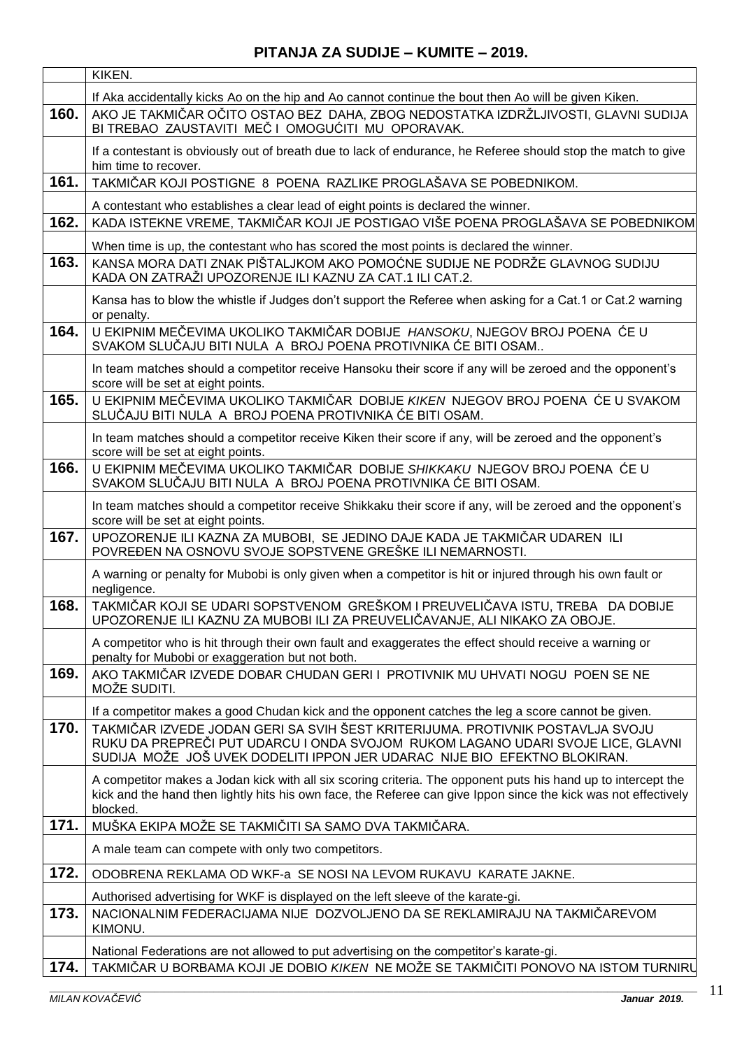|      | KIKEN.                                                                                                                                                                                                                                         |
|------|------------------------------------------------------------------------------------------------------------------------------------------------------------------------------------------------------------------------------------------------|
|      | If Aka accidentally kicks Ao on the hip and Ao cannot continue the bout then Ao will be given Kiken.                                                                                                                                           |
| 160. | AKO JE TAKMIČAR OČITO OSTAO BEZ DAHA, ZBOG NEDOSTATKA IZDRŽLJIVOSTI, GLAVNI SUDIJA<br>BI TREBAO ZAUSTAVITI MEČ I OMOGUĆITI MU OPORAVAK.                                                                                                        |
|      | If a contestant is obviously out of breath due to lack of endurance, he Referee should stop the match to give<br>him time to recover.                                                                                                          |
| 161. | TAKMIČAR KOJI POSTIGNE 8 POENA RAZLIKE PROGLAŠAVA SE POBEDNIKOM.                                                                                                                                                                               |
|      | A contestant who establishes a clear lead of eight points is declared the winner.                                                                                                                                                              |
| 162. | KADA ISTEKNE VREME, TAKMIČAR KOJI JE POSTIGAO VIŠE POENA PROGLAŠAVA SE POBEDNIKOM                                                                                                                                                              |
|      | When time is up, the contestant who has scored the most points is declared the winner.                                                                                                                                                         |
| 163. | KANSA MORA DATI ZNAK PIŠTALJKOM AKO POMOĆNE SUDIJE NE PODRŽE GLAVNOG SUDIJU<br>KADA ON ZATRAŽI UPOZORENJE ILI KAZNU ZA CAT.1 ILI CAT.2.                                                                                                        |
|      | Kansa has to blow the whistle if Judges don't support the Referee when asking for a Cat.1 or Cat.2 warning<br>or penalty.                                                                                                                      |
| 164. | U EKIPNIM MEČEVIMA UKOLIKO TAKMIČAR DOBIJE HANSOKU, NJEGOV BROJ POENA ĆE U<br>SVAKOM SLUČAJU BITI NULA A BROJ POENA PROTIVNIKA ĆE BITI OSAM                                                                                                    |
|      | In team matches should a competitor receive Hansoku their score if any will be zeroed and the opponent's<br>score will be set at eight points.                                                                                                 |
| 165. | U EKIPNIM MEČEVIMA UKOLIKO TAKMIČAR DOBIJE KIKEN NJEGOV BROJ POENA ĆE U SVAKOM<br>SLUČAJU BITI NULA A BROJ POENA PROTIVNIKA ĆE BITI OSAM.                                                                                                      |
|      | In team matches should a competitor receive Kiken their score if any, will be zeroed and the opponent's<br>score will be set at eight points.                                                                                                  |
| 166. | U EKIPNIM MEČEVIMA UKOLIKO TAKMIČAR DOBIJE SHIKKAKU NJEGOV BROJ POENA ĆE U<br>SVAKOM SLUČAJU BITI NULA A BROJ POENA PROTIVNIKA ĆE BITI OSAM.                                                                                                   |
|      | In team matches should a competitor receive Shikkaku their score if any, will be zeroed and the opponent's<br>score will be set at eight points.                                                                                               |
| 167. | UPOZORENJE ILI KAZNA ZA MUBOBI, SE JEDINO DAJE KADA JE TAKMIČAR UDAREN ILI<br>POVREĐEN NA OSNOVU SVOJE SOPSTVENE GREŠKE ILI NEMARNOSTI.                                                                                                        |
|      | A warning or penalty for Mubobi is only given when a competitor is hit or injured through his own fault or<br>negligence.                                                                                                                      |
| 168. | TAKMIČAR KOJI SE UDARI SOPSTVENOM GREŠKOM I PREUVELIČAVA ISTU, TREBA DA DOBIJE<br>UPOZORENJE ILI KAZNU ZA MUBOBI ILI ZA PREUVELIČAVANJE, ALI NIKAKO ZA OBOJE.                                                                                  |
|      | A competitor who is hit through their own fault and exaggerates the effect should receive a warning or<br>penalty for Mubobi or exaggeration but not both.                                                                                     |
| 169. | AKO TAKMIČAR IZVEDE DOBAR CHUDAN GERI I PROTIVNIK MU UHVATI NOGU POEN SE NE<br>MOŽE SUDITI.                                                                                                                                                    |
|      | If a competitor makes a good Chudan kick and the opponent catches the leg a score cannot be given.                                                                                                                                             |
| 170. | TAKMIČAR IZVEDE JODAN GERI SA SVIH ŠEST KRITERIJUMA. PROTIVNIK POSTAVLJA SVOJU<br>RUKU DA PREPREČI PUT UDARCU I ONDA SVOJOM RUKOM LAGANO UDARI SVOJE LICE, GLAVNI<br>SUDIJA MOŽE JOŠ UVEK DODELITI IPPON JER UDARAC NIJE BIO EFEKTNO BLOKIRAN. |
|      | A competitor makes a Jodan kick with all six scoring criteria. The opponent puts his hand up to intercept the<br>kick and the hand then lightly hits his own face, the Referee can give Ippon since the kick was not effectively<br>blocked.   |
| 171. | MUŠKA EKIPA MOŽE SE TAKMIČITI SA SAMO DVA TAKMIČARA.                                                                                                                                                                                           |
|      | A male team can compete with only two competitors.                                                                                                                                                                                             |
| 172. | ODOBRENA REKLAMA OD WKF-a SE NOSI NA LEVOM RUKAVU KARATE JAKNE.                                                                                                                                                                                |
|      | Authorised advertising for WKF is displayed on the left sleeve of the karate-gi.                                                                                                                                                               |
| 173. | NACIONALNIM FEDERACIJAMA NIJE DOZVOLJENO DA SE REKLAMIRAJU NA TAKMIČAREVOM<br>KIMONU.                                                                                                                                                          |
|      | National Federations are not allowed to put advertising on the competitor's karate-gi.                                                                                                                                                         |
| 174. | TAKMIČAR U BORBAMA KOJI JE DOBIO KIKEN NE MOŽE SE TAKMIČITI PONOVO NA ISTOM TURNIRU                                                                                                                                                            |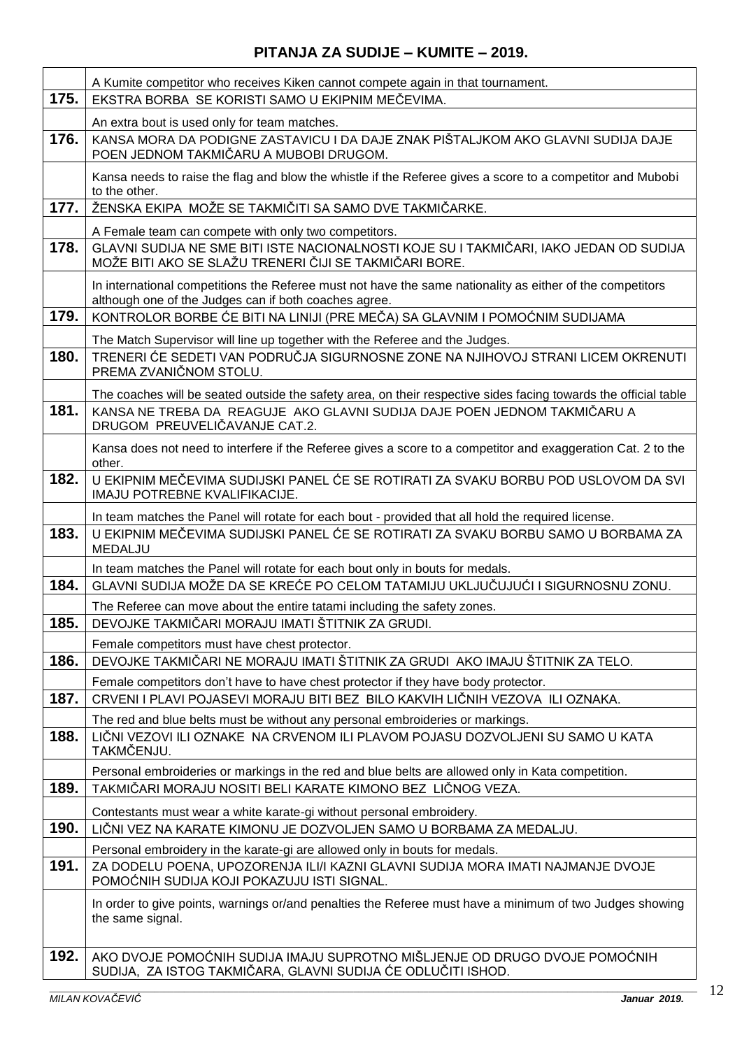|      | A Kumite competitor who receives Kiken cannot compete again in that tournament.                                                                                    |
|------|--------------------------------------------------------------------------------------------------------------------------------------------------------------------|
| 175. | EKSTRA BORBA SE KORISTI SAMO U EKIPNIM MEČEVIMA.                                                                                                                   |
|      | An extra bout is used only for team matches.                                                                                                                       |
| 176. | KANSA MORA DA PODIGNE ZASTAVICU I DA DAJE ZNAK PIŠTALJKOM AKO GLAVNI SUDIJA DAJE<br>POEN JEDNOM TAKMIČARU A MUBOBI DRUGOM.                                         |
|      | Kansa needs to raise the flag and blow the whistle if the Referee gives a score to a competitor and Mubobi<br>to the other.                                        |
| 177. | ŽENSKA EKIPA MOŽE SE TAKMIČITI SA SAMO DVE TAKMIČARKE.                                                                                                             |
|      | A Female team can compete with only two competitors.                                                                                                               |
| 178. | GLAVNI SUDIJA NE SME BITI ISTE NACIONALNOSTI KOJE SU I TAKMIČARI, IAKO JEDAN OD SUDIJA<br>MOŽE BITI AKO SE SLAŽU TRENERI ČIJI SE TAKMIČARI BORE.                   |
|      | In international competitions the Referee must not have the same nationality as either of the competitors<br>although one of the Judges can if both coaches agree. |
| 179. | KONTROLOR BORBE ĆE BITI NA LINIJI (PRE MEČA) SA GLAVNIM I POMOĆNIM SUDIJAMA                                                                                        |
|      | The Match Supervisor will line up together with the Referee and the Judges.                                                                                        |
| 180. | TRENERI ĆE SEDETI VAN PODRUČJA SIGURNOSNE ZONE NA NJIHOVOJ STRANI LICEM OKRENUTI<br>PREMA ZVANIČNOM STOLU.                                                         |
|      | The coaches will be seated outside the safety area, on their respective sides facing towards the official table                                                    |
| 181. | KANSA NE TREBA DA REAGUJE AKO GLAVNI SUDIJA DAJE POEN JEDNOM TAKMIČARU A<br>DRUGOM PREUVELIČAVANJE CAT.2.                                                          |
|      | Kansa does not need to interfere if the Referee gives a score to a competitor and exaggeration Cat. 2 to the<br>other.                                             |
| 182. | U EKIPNIM MEČEVIMA SUDIJSKI PANEL ĆE SE ROTIRATI ZA SVAKU BORBU POD USLOVOM DA SVI<br>IMAJU POTREBNE KVALIFIKACIJE.                                                |
|      | In team matches the Panel will rotate for each bout - provided that all hold the required license.                                                                 |
| 183. | U EKIPNIM MEČEVIMA SUDIJSKI PANEL ĆE SE ROTIRATI ZA SVAKU BORBU SAMO U BORBAMA ZA<br>MEDALJU                                                                       |
|      | In team matches the Panel will rotate for each bout only in bouts for medals.                                                                                      |
| 184. | GLAVNI SUDIJA MOŽE DA SE KREĆE PO CELOM TATAMIJU UKLJUČUJUĆI I SIGURNOSNU ZONU.                                                                                    |
|      | The Referee can move about the entire tatami including the safety zones.                                                                                           |
| 185. | DEVOJKE TAKMIČARI MORAJU IMATI ŠTITNIK ZA GRUDI.                                                                                                                   |
|      | Female competitors must have chest protector.                                                                                                                      |
| 186. | DEVOJKE TAKMIČARI NE MORAJU IMATI ŠTITNIK ZA GRUDI AKO IMAJU ŠTITNIK ZA TELO.                                                                                      |
|      | Female competitors don't have to have chest protector if they have body protector.                                                                                 |
| 187. | CRVENI I PLAVI POJASEVI MORAJU BITI BEZ BILO KAKVIH LIČNIH VEZOVA ILI OZNAKA.                                                                                      |
| 188. | The red and blue belts must be without any personal embroideries or markings.<br>LIČNI VEZOVI ILI OZNAKE NA CRVENOM ILI PLAVOM POJASU DOZVOLJENI SU SAMO U KATA    |
|      | TAKMČENJU.                                                                                                                                                         |
|      | Personal embroideries or markings in the red and blue belts are allowed only in Kata competition.                                                                  |
| 189. | TAKMIČARI MORAJU NOSITI BELI KARATE KIMONO BEZ LIČNOG VEZA.                                                                                                        |
|      | Contestants must wear a white karate-gi without personal embroidery.                                                                                               |
| 190. | LIČNI VEZ NA KARATE KIMONU JE DOZVOLJEN SAMO U BORBAMA ZA MEDALJU.                                                                                                 |
|      | Personal embroidery in the karate-gi are allowed only in bouts for medals.                                                                                         |
| 191. | ZA DODELU POENA, UPOZORENJA ILI/I KAZNI GLAVNI SUDIJA MORA IMATI NAJMANJE DVOJE<br>POMOĆNIH SUDIJA KOJI POKAZUJU ISTI SIGNAL.                                      |
|      | In order to give points, warnings or/and penalties the Referee must have a minimum of two Judges showing<br>the same signal.                                       |
| 192. | AKO DVOJE POMOĆNIH SUDIJA IMAJU SUPROTNO MIŠLJENJE OD DRUGO DVOJE POMOĆNIH<br>SUDIJA, ZA ISTOG TAKMIČARA, GLAVNI SUDIJA ĆE ODLUČITI ISHOD.                         |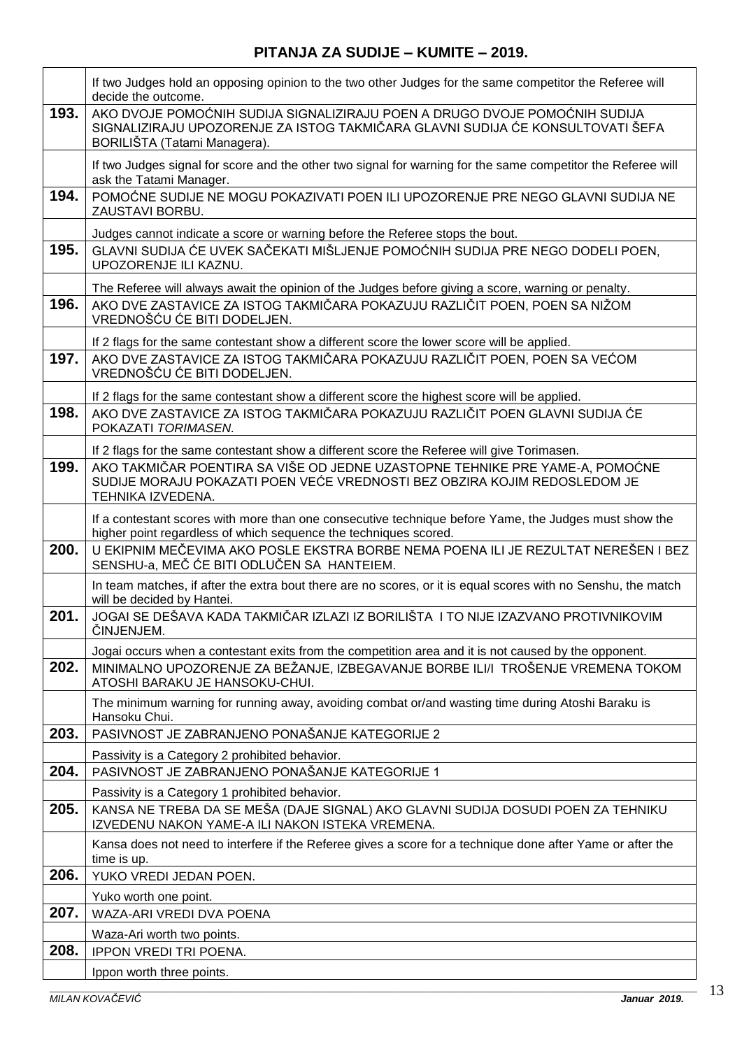|      | If two Judges hold an opposing opinion to the two other Judges for the same competitor the Referee will<br>decide the outcome.                                                               |
|------|----------------------------------------------------------------------------------------------------------------------------------------------------------------------------------------------|
| 193. | AKO DVOJE POMOĆNIH SUDIJA SIGNALIZIRAJU POEN A DRUGO DVOJE POMOĆNIH SUDIJA<br>SIGNALIZIRAJU UPOZORENJE ZA ISTOG TAKMIČARA GLAVNI SUDIJA ĆE KONSULTOVATI ŠEFA<br>BORILIŠTA (Tatami Managera). |
|      | If two Judges signal for score and the other two signal for warning for the same competitor the Referee will<br>ask the Tatami Manager.                                                      |
| 194. | POMOĆNE SUDIJE NE MOGU POKAZIVATI POEN ILI UPOZORENJE PRE NEGO GLAVNI SUDIJA NE<br>ZAUSTAVI BORBU.                                                                                           |
|      | Judges cannot indicate a score or warning before the Referee stops the bout.                                                                                                                 |
| 195. | GLAVNI SUDIJA ĆE UVEK SAČEKATI MIŠLJENJE POMOĆNIH SUDIJA PRE NEGO DODELI POEN,<br>UPOZORENJE ILI KAZNU.                                                                                      |
|      | The Referee will always await the opinion of the Judges before giving a score, warning or penalty.                                                                                           |
| 196. | AKO DVE ZASTAVICE ZA ISTOG TAKMIČARA POKAZUJU RAZLIČIT POEN, POEN SA NIŽOM<br>VREDNOŠĆU ĆE BITI DODELJEN.                                                                                    |
|      | If 2 flags for the same contestant show a different score the lower score will be applied.                                                                                                   |
| 197. | AKO DVE ZASTAVICE ZA ISTOG TAKMIČARA POKAZUJU RAZLIČIT POEN, POEN SA VEĆOM<br>VREDNOŠĆU ĆE BITI DODELJEN.                                                                                    |
|      | If 2 flags for the same contestant show a different score the highest score will be applied.                                                                                                 |
| 198. | AKO DVE ZASTAVICE ZA ISTOG TAKMIČARA POKAZUJU RAZLIČIT POEN GLAVNI SUDIJA ĆE<br>POKAZATI TORIMASEN.                                                                                          |
|      | If 2 flags for the same contestant show a different score the Referee will give Torimasen.                                                                                                   |
| 199. | AKO TAKMIČAR POENTIRA SA VIŠE OD JEDNE UZASTOPNE TEHNIKE PRE YAME-A, POMOĆNE<br>SUDIJE MORAJU POKAZATI POEN VEĆE VREDNOSTI BEZ OBZIRA KOJIM REDOSLEDOM JE<br>TEHNIKA IZVEDENA.               |
|      | If a contestant scores with more than one consecutive technique before Yame, the Judges must show the<br>higher point regardless of which sequence the techniques scored.                    |
| 200. | U EKIPNIM MEČEVIMA AKO POSLE EKSTRA BORBE NEMA POENA ILI JE REZULTAT NEREŠEN I BEZ<br>SENSHU-a, MEČ ĆE BITI ODLUČEN SA HANTEIEM.                                                             |
|      | In team matches, if after the extra bout there are no scores, or it is equal scores with no Senshu, the match<br>will be decided by Hantei.                                                  |
| 201. | JOGAI SE DEŠAVA KADA TAKMIČAR IZLAZI IZ BORILIŠTA I TO NIJE IZAZVANO PROTIVNIKOVIM<br>ČINJENJEM.                                                                                             |
|      | Jogai occurs when a contestant exits from the competition area and it is not caused by the opponent.                                                                                         |
| 202. | MINIMALNO UPOZORENJE ZA BEŽANJE, IZBEGAVANJE BORBE ILI/I TROŠENJE VREMENA TOKOM<br>ATOSHI BARAKU JE HANSOKU-CHUI.                                                                            |
|      | The minimum warning for running away, avoiding combat or/and wasting time during Atoshi Baraku is<br>Hansoku Chui.                                                                           |
| 203. | PASIVNOST JE ZABRANJENO PONAŠANJE KATEGORIJE 2                                                                                                                                               |
|      | Passivity is a Category 2 prohibited behavior.                                                                                                                                               |
| 204. | PASIVNOST JE ZABRANJENO PONAŠANJE KATEGORIJE 1                                                                                                                                               |
| 205. | Passivity is a Category 1 prohibited behavior.                                                                                                                                               |
|      | KANSA NE TREBA DA SE MEŠA (DAJE SIGNAL) AKO GLAVNI SUDIJA DOSUDI POEN ZA TEHNIKU<br>IZVEDENU NAKON YAME-A ILI NAKON ISTEKA VREMENA.                                                          |
|      | Kansa does not need to interfere if the Referee gives a score for a technique done after Yame or after the<br>time is up.                                                                    |
| 206. | YUKO VREDI JEDAN POEN.                                                                                                                                                                       |
|      | Yuko worth one point.                                                                                                                                                                        |
| 207. | WAZA-ARI VREDI DVA POENA                                                                                                                                                                     |
|      | Waza-Ari worth two points.                                                                                                                                                                   |
| 208. | <b>IPPON VREDI TRI POENA.</b>                                                                                                                                                                |
|      | Ippon worth three points.                                                                                                                                                                    |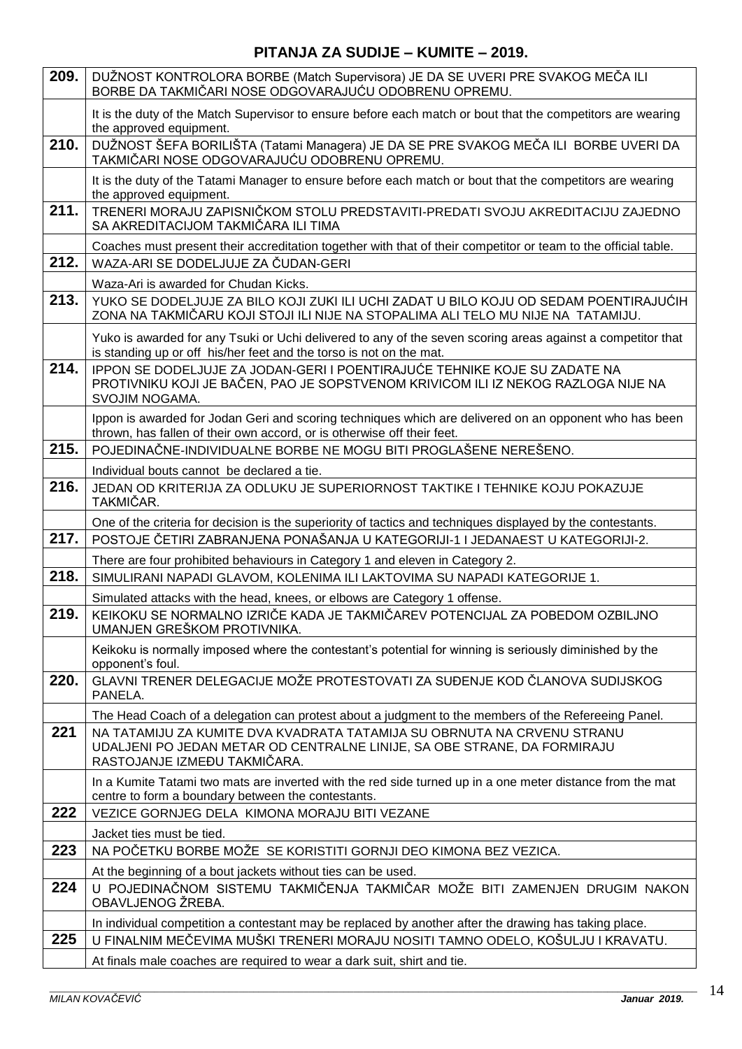| 209. | DUŽNOST KONTROLORA BORBE (Match Supervisora) JE DA SE UVERI PRE SVAKOG MEČA ILI<br>BORBE DA TAKMIČARI NOSE ODGOVARAJUĆU ODOBRENU OPREMU.                                            |
|------|-------------------------------------------------------------------------------------------------------------------------------------------------------------------------------------|
|      | It is the duty of the Match Supervisor to ensure before each match or bout that the competitors are wearing<br>the approved equipment.                                              |
| 210. | DUŽNOST ŠEFA BORILIŠTA (Tatami Managera) JE DA SE PRE SVAKOG MEČA ILI BORBE UVERI DA<br>TAKMIČARI NOSE ODGOVARAJUĆU ODOBRENU OPREMU.                                                |
|      | It is the duty of the Tatami Manager to ensure before each match or bout that the competitors are wearing<br>the approved equipment.                                                |
| 211. | TRENERI MORAJU ZAPISNIČKOM STOLU PREDSTAVITI-PREDATI SVOJU AKREDITACIJU ZAJEDNO<br>SA AKREDITACIJOM TAKMIČARA ILI TIMA                                                              |
|      | Coaches must present their accreditation together with that of their competitor or team to the official table.                                                                      |
| 212. | WAZA-ARI SE DODELJUJE ZA ČUDAN-GERI                                                                                                                                                 |
|      | Waza-Ari is awarded for Chudan Kicks.                                                                                                                                               |
| 213. | YUKO SE DODELJUJE ZA BILO KOJI ZUKI ILI UCHI ZADAT U BILO KOJU OD SEDAM POENTIRAJUĆIH<br>ZONA NA TAKMIČARU KOJI STOJI ILI NIJE NA STOPALIMA ALI TELO MU NIJE NA TATAMIJU.           |
|      | Yuko is awarded for any Tsuki or Uchi delivered to any of the seven scoring areas against a competitor that<br>is standing up or off his/her feet and the torso is not on the mat.  |
| 214. | IPPON SE DODELJUJE ZA JODAN-GERI I POENTIRAJUĆE TEHNIKE KOJE SU ZADATE NA<br>PROTIVNIKU KOJI JE BAČEN, PAO JE SOPSTVENOM KRIVICOM ILI IZ NEKOG RAZLOGA NIJE NA<br>SVOJIM NOGAMA.    |
|      | Ippon is awarded for Jodan Geri and scoring techniques which are delivered on an opponent who has been<br>thrown, has fallen of their own accord, or is otherwise off their feet.   |
| 215. | POJEDINAČNE-INDIVIDUALNE BORBE NE MOGU BITI PROGLAŠENE NEREŠENO.                                                                                                                    |
|      | Individual bouts cannot be declared a tie.                                                                                                                                          |
| 216. | JEDAN OD KRITERIJA ZA ODLUKU JE SUPERIORNOST TAKTIKE I TEHNIKE KOJU POKAZUJE<br>TAKMIČAR.                                                                                           |
|      | One of the criteria for decision is the superiority of tactics and techniques displayed by the contestants.                                                                         |
| 217. | POSTOJE ČETIRI ZABRANJENA PONAŠANJA U KATEGORIJI-1 I JEDANAEST U KATEGORIJI-2.                                                                                                      |
|      | There are four prohibited behaviours in Category 1 and eleven in Category 2.                                                                                                        |
| 218. | SIMULIRANI NAPADI GLAVOM, KOLENIMA ILI LAKTOVIMA SU NAPADI KATEGORIJE 1.                                                                                                            |
|      | Simulated attacks with the head, knees, or elbows are Category 1 offense.                                                                                                           |
| 219. | KEIKOKU SE NORMALNO IZRIČE KADA JE TAKMIČAREV POTENCIJAL ZA POBEDOM OZBILJNO<br>UMANJEN GREŠKOM PROTIVNIKA.                                                                         |
|      | Keikoku is normally imposed where the contestant's potential for winning is seriously diminished by the<br>opponent's foul.                                                         |
| 220. | GLAVNI TRENER DELEGACIJE MOŽE PROTESTOVATI ZA SUĐENJE KOD ČLANOVA SUDIJSKOG<br>PANELA.                                                                                              |
|      | The Head Coach of a delegation can protest about a judgment to the members of the Refereeing Panel.                                                                                 |
| 221  | NA TATAMIJU ZA KUMITE DVA KVADRATA TATAMIJA SU OBRNUTA NA CRVENU STRANU<br>UDALJENI PO JEDAN METAR OD CENTRALNE LINIJE, SA OBE STRANE, DA FORMIRAJU<br>RASTOJANJE IZMEĐU TAKMIČARA. |
|      | In a Kumite Tatami two mats are inverted with the red side turned up in a one meter distance from the mat<br>centre to form a boundary between the contestants.                     |
| 222  | VEZICE GORNJEG DELA KIMONA MORAJU BITI VEZANE                                                                                                                                       |
|      | Jacket ties must be tied.                                                                                                                                                           |
| 223  | NA POČETKU BORBE MOŽE SE KORISTITI GORNJI DEO KIMONA BEZ VEZICA.                                                                                                                    |
|      | At the beginning of a bout jackets without ties can be used.                                                                                                                        |
| 224  | U POJEDINAČNOM SISTEMU TAKMIČENJA TAKMIČAR MOŽE BITI ZAMENJEN DRUGIM NAKON<br>OBAVLJENOG ŽREBA.                                                                                     |
|      | In individual competition a contestant may be replaced by another after the drawing has taking place.                                                                               |
| 225  | U FINALNIM MEČEVIMA MUŠKI TRENERI MORAJU NOSITI TAMNO ODELO, KOŠULJU I KRAVATU.                                                                                                     |
|      | At finals male coaches are required to wear a dark suit, shirt and tie.                                                                                                             |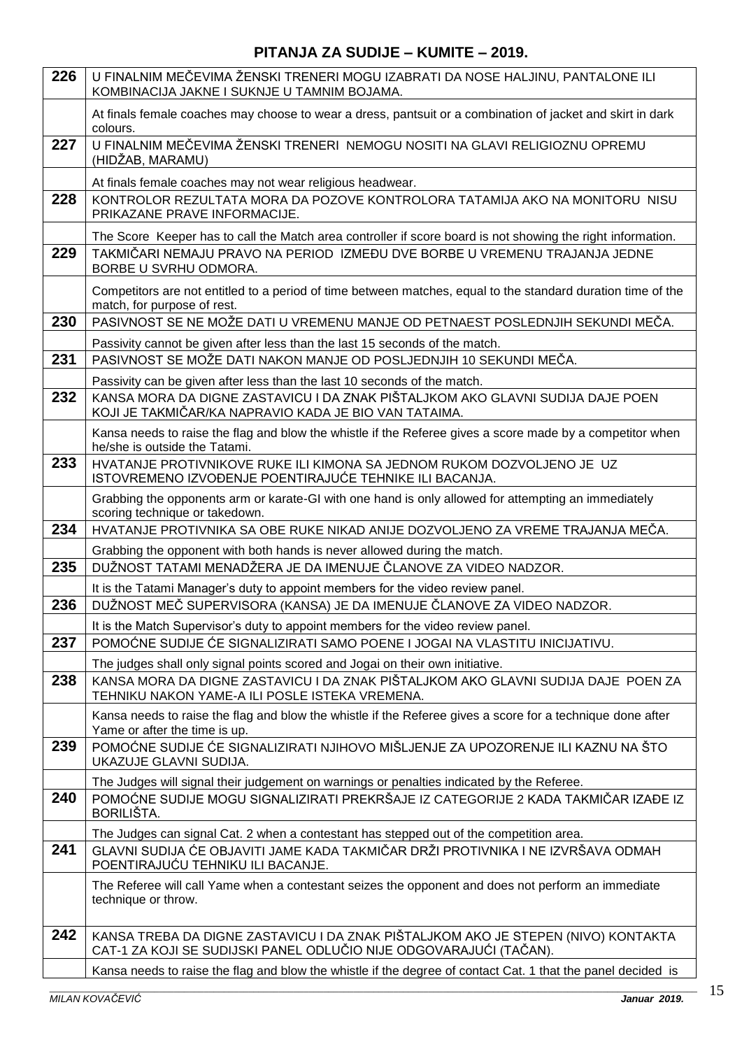| At finals female coaches may choose to wear a dress, pantsuit or a combination of jacket and skirt in dark<br>colours.<br>U FINALNIM MEČEVIMA ŽENSKI TRENERI NEMOGU NOSITI NA GLAVI RELIGIOZNU OPREMU<br>(HIDŽAB, MARAMU)<br>At finals female coaches may not wear religious headwear.<br>KONTROLOR REZULTATA MORA DA POZOVE KONTROLORA TATAMIJA AKO NA MONITORU NISU<br>PRIKAZANE PRAVE INFORMACIJE.<br>The Score Keeper has to call the Match area controller if score board is not showing the right information.<br>TAKMIČARI NEMAJU PRAVO NA PERIOD IZMEĐU DVE BORBE U VREMENU TRAJANJA JEDNE<br>BORBE U SVRHU ODMORA.<br>Competitors are not entitled to a period of time between matches, equal to the standard duration time of the<br>match, for purpose of rest.<br>PASIVNOST SE NE MOŽE DATI U VREMENU MANJE OD PETNAEST POSLEDNJIH SEKUNDI MEČA.<br>Passivity cannot be given after less than the last 15 seconds of the match.<br>PASIVNOST SE MOŽE DATI NAKON MANJE OD POSLJEDNJIH 10 SEKUNDI MEČA.<br>Passivity can be given after less than the last 10 seconds of the match.<br>KANSA MORA DA DIGNE ZASTAVICU I DA ZNAK PIŠTALJKOM AKO GLAVNI SUDIJA DAJE POEN<br>KOJI JE TAKMIČAR/KA NAPRAVIO KADA JE BIO VAN TATAIMA.<br>Kansa needs to raise the flag and blow the whistle if the Referee gives a score made by a competitor when<br>he/she is outside the Tatami.<br>HVATANJE PROTIVNIKOVE RUKE ILI KIMONA SA JEDNOM RUKOM DOZVOLJENO JE UZ<br>ISTOVREMENO IZVOĐENJE POENTIRAJUĆE TEHNIKE ILI BACANJA.<br>Grabbing the opponents arm or karate-GI with one hand is only allowed for attempting an immediately<br>scoring technique or takedown.<br>HVATANJE PROTIVNIKA SA OBE RUKE NIKAD ANIJE DOZVOLJENO ZA VREME TRAJANJA MEČA.<br>Grabbing the opponent with both hands is never allowed during the match.<br>DUŽNOST TATAMI MENADŽERA JE DA IMENUJE ČLANOVE ZA VIDEO NADZOR.<br>It is the Tatami Manager's duty to appoint members for the video review panel.<br>DUŽNOST MEČ SUPERVISORA (KANSA) JE DA IMENUJE ČLANOVE ZA VIDEO NADZOR.<br>It is the Match Supervisor's duty to appoint members for the video review panel.<br>POMOĆNE SUDIJE ĆE SIGNALIZIRATI SAMO POENE I JOGAI NA VLASTITU INICIJATIVU.<br>The judges shall only signal points scored and Jogai on their own initiative.<br>KANSA MORA DA DIGNE ZASTAVICU I DA ZNAK PIŠTALJKOM AKO GLAVNI SUDIJA DAJE POEN ZA<br>TEHNIKU NAKON YAME-A ILI POSLE ISTEKA VREMENA.<br>Kansa needs to raise the flag and blow the whistle if the Referee gives a score for a technique done after<br>Yame or after the time is up.<br>POMOĆNE SUDIJE ĆE SIGNALIZIRATI NJIHOVO MIŠLJENJE ZA UPOZORENJE ILI KAZNU NA ŠTO<br>UKAZUJE GLAVNI SUDIJA.<br>The Judges will signal their judgement on warnings or penalties indicated by the Referee.<br>POMOĆNE SUDIJE MOGU SIGNALIZIRATI PREKRŠAJE IZ CATEGORIJE 2 KADA TAKMIČAR IZAĐE IZ<br>BORILIŠTA.<br>The Judges can signal Cat. 2 when a contestant has stepped out of the competition area.<br>GLAVNI SUDIJA ĆE OBJAVITI JAME KADA TAKMIČAR DRŽI PROTIVNIKA I NE IZVRŠAVA ODMAH<br>POENTIRAJUĆU TEHNIKU ILI BACANJE.<br>The Referee will call Yame when a contestant seizes the opponent and does not perform an immediate<br>technique or throw.<br>KANSA TREBA DA DIGNE ZASTAVICU I DA ZNAK PIŠTALJKOM AKO JE STEPEN (NIVO) KONTAKTA<br>CAT-1 ZA KOJI SE SUDIJSKI PANEL ODLUČIO NIJE ODGOVARAJUĆI (TAČAN).<br>Kansa needs to raise the flag and blow the whistle if the degree of contact Cat. 1 that the panel decided is | 226 | U FINALNIM MEČEVIMA ŽENSKI TRENERI MOGU IZABRATI DA NOSE HALJINU, PANTALONE ILI<br>KOMBINACIJA JAKNE I SUKNJE U TAMNIM BOJAMA. |
|--------------------------------------------------------------------------------------------------------------------------------------------------------------------------------------------------------------------------------------------------------------------------------------------------------------------------------------------------------------------------------------------------------------------------------------------------------------------------------------------------------------------------------------------------------------------------------------------------------------------------------------------------------------------------------------------------------------------------------------------------------------------------------------------------------------------------------------------------------------------------------------------------------------------------------------------------------------------------------------------------------------------------------------------------------------------------------------------------------------------------------------------------------------------------------------------------------------------------------------------------------------------------------------------------------------------------------------------------------------------------------------------------------------------------------------------------------------------------------------------------------------------------------------------------------------------------------------------------------------------------------------------------------------------------------------------------------------------------------------------------------------------------------------------------------------------------------------------------------------------------------------------------------------------------------------------------------------------------------------------------------------------------------------------------------------------------------------------------------------------------------------------------------------------------------------------------------------------------------------------------------------------------------------------------------------------------------------------------------------------------------------------------------------------------------------------------------------------------------------------------------------------------------------------------------------------------------------------------------------------------------------------------------------------------------------------------------------------------------------------------------------------------------------------------------------------------------------------------------------------------------------------------------------------------------------------------------------------------------------------------------------------------------------------------------------------------------------------------------------------------------------------------------------------------------------------------------------------------------------------------------------------------------------------------------------------------------------------------------------------------------------------------------------------------------------------------------------------------------------------------------------------------------------------------------|-----|--------------------------------------------------------------------------------------------------------------------------------|
|                                                                                                                                                                                                                                                                                                                                                                                                                                                                                                                                                                                                                                                                                                                                                                                                                                                                                                                                                                                                                                                                                                                                                                                                                                                                                                                                                                                                                                                                                                                                                                                                                                                                                                                                                                                                                                                                                                                                                                                                                                                                                                                                                                                                                                                                                                                                                                                                                                                                                                                                                                                                                                                                                                                                                                                                                                                                                                                                                                                                                                                                                                                                                                                                                                                                                                                                                                                                                                                                                                                                                        |     |                                                                                                                                |
|                                                                                                                                                                                                                                                                                                                                                                                                                                                                                                                                                                                                                                                                                                                                                                                                                                                                                                                                                                                                                                                                                                                                                                                                                                                                                                                                                                                                                                                                                                                                                                                                                                                                                                                                                                                                                                                                                                                                                                                                                                                                                                                                                                                                                                                                                                                                                                                                                                                                                                                                                                                                                                                                                                                                                                                                                                                                                                                                                                                                                                                                                                                                                                                                                                                                                                                                                                                                                                                                                                                                                        | 227 |                                                                                                                                |
|                                                                                                                                                                                                                                                                                                                                                                                                                                                                                                                                                                                                                                                                                                                                                                                                                                                                                                                                                                                                                                                                                                                                                                                                                                                                                                                                                                                                                                                                                                                                                                                                                                                                                                                                                                                                                                                                                                                                                                                                                                                                                                                                                                                                                                                                                                                                                                                                                                                                                                                                                                                                                                                                                                                                                                                                                                                                                                                                                                                                                                                                                                                                                                                                                                                                                                                                                                                                                                                                                                                                                        |     |                                                                                                                                |
|                                                                                                                                                                                                                                                                                                                                                                                                                                                                                                                                                                                                                                                                                                                                                                                                                                                                                                                                                                                                                                                                                                                                                                                                                                                                                                                                                                                                                                                                                                                                                                                                                                                                                                                                                                                                                                                                                                                                                                                                                                                                                                                                                                                                                                                                                                                                                                                                                                                                                                                                                                                                                                                                                                                                                                                                                                                                                                                                                                                                                                                                                                                                                                                                                                                                                                                                                                                                                                                                                                                                                        | 228 |                                                                                                                                |
|                                                                                                                                                                                                                                                                                                                                                                                                                                                                                                                                                                                                                                                                                                                                                                                                                                                                                                                                                                                                                                                                                                                                                                                                                                                                                                                                                                                                                                                                                                                                                                                                                                                                                                                                                                                                                                                                                                                                                                                                                                                                                                                                                                                                                                                                                                                                                                                                                                                                                                                                                                                                                                                                                                                                                                                                                                                                                                                                                                                                                                                                                                                                                                                                                                                                                                                                                                                                                                                                                                                                                        | 229 |                                                                                                                                |
|                                                                                                                                                                                                                                                                                                                                                                                                                                                                                                                                                                                                                                                                                                                                                                                                                                                                                                                                                                                                                                                                                                                                                                                                                                                                                                                                                                                                                                                                                                                                                                                                                                                                                                                                                                                                                                                                                                                                                                                                                                                                                                                                                                                                                                                                                                                                                                                                                                                                                                                                                                                                                                                                                                                                                                                                                                                                                                                                                                                                                                                                                                                                                                                                                                                                                                                                                                                                                                                                                                                                                        |     |                                                                                                                                |
|                                                                                                                                                                                                                                                                                                                                                                                                                                                                                                                                                                                                                                                                                                                                                                                                                                                                                                                                                                                                                                                                                                                                                                                                                                                                                                                                                                                                                                                                                                                                                                                                                                                                                                                                                                                                                                                                                                                                                                                                                                                                                                                                                                                                                                                                                                                                                                                                                                                                                                                                                                                                                                                                                                                                                                                                                                                                                                                                                                                                                                                                                                                                                                                                                                                                                                                                                                                                                                                                                                                                                        | 230 |                                                                                                                                |
|                                                                                                                                                                                                                                                                                                                                                                                                                                                                                                                                                                                                                                                                                                                                                                                                                                                                                                                                                                                                                                                                                                                                                                                                                                                                                                                                                                                                                                                                                                                                                                                                                                                                                                                                                                                                                                                                                                                                                                                                                                                                                                                                                                                                                                                                                                                                                                                                                                                                                                                                                                                                                                                                                                                                                                                                                                                                                                                                                                                                                                                                                                                                                                                                                                                                                                                                                                                                                                                                                                                                                        |     |                                                                                                                                |
|                                                                                                                                                                                                                                                                                                                                                                                                                                                                                                                                                                                                                                                                                                                                                                                                                                                                                                                                                                                                                                                                                                                                                                                                                                                                                                                                                                                                                                                                                                                                                                                                                                                                                                                                                                                                                                                                                                                                                                                                                                                                                                                                                                                                                                                                                                                                                                                                                                                                                                                                                                                                                                                                                                                                                                                                                                                                                                                                                                                                                                                                                                                                                                                                                                                                                                                                                                                                                                                                                                                                                        | 231 |                                                                                                                                |
|                                                                                                                                                                                                                                                                                                                                                                                                                                                                                                                                                                                                                                                                                                                                                                                                                                                                                                                                                                                                                                                                                                                                                                                                                                                                                                                                                                                                                                                                                                                                                                                                                                                                                                                                                                                                                                                                                                                                                                                                                                                                                                                                                                                                                                                                                                                                                                                                                                                                                                                                                                                                                                                                                                                                                                                                                                                                                                                                                                                                                                                                                                                                                                                                                                                                                                                                                                                                                                                                                                                                                        |     |                                                                                                                                |
|                                                                                                                                                                                                                                                                                                                                                                                                                                                                                                                                                                                                                                                                                                                                                                                                                                                                                                                                                                                                                                                                                                                                                                                                                                                                                                                                                                                                                                                                                                                                                                                                                                                                                                                                                                                                                                                                                                                                                                                                                                                                                                                                                                                                                                                                                                                                                                                                                                                                                                                                                                                                                                                                                                                                                                                                                                                                                                                                                                                                                                                                                                                                                                                                                                                                                                                                                                                                                                                                                                                                                        | 232 |                                                                                                                                |
|                                                                                                                                                                                                                                                                                                                                                                                                                                                                                                                                                                                                                                                                                                                                                                                                                                                                                                                                                                                                                                                                                                                                                                                                                                                                                                                                                                                                                                                                                                                                                                                                                                                                                                                                                                                                                                                                                                                                                                                                                                                                                                                                                                                                                                                                                                                                                                                                                                                                                                                                                                                                                                                                                                                                                                                                                                                                                                                                                                                                                                                                                                                                                                                                                                                                                                                                                                                                                                                                                                                                                        |     |                                                                                                                                |
|                                                                                                                                                                                                                                                                                                                                                                                                                                                                                                                                                                                                                                                                                                                                                                                                                                                                                                                                                                                                                                                                                                                                                                                                                                                                                                                                                                                                                                                                                                                                                                                                                                                                                                                                                                                                                                                                                                                                                                                                                                                                                                                                                                                                                                                                                                                                                                                                                                                                                                                                                                                                                                                                                                                                                                                                                                                                                                                                                                                                                                                                                                                                                                                                                                                                                                                                                                                                                                                                                                                                                        | 233 |                                                                                                                                |
|                                                                                                                                                                                                                                                                                                                                                                                                                                                                                                                                                                                                                                                                                                                                                                                                                                                                                                                                                                                                                                                                                                                                                                                                                                                                                                                                                                                                                                                                                                                                                                                                                                                                                                                                                                                                                                                                                                                                                                                                                                                                                                                                                                                                                                                                                                                                                                                                                                                                                                                                                                                                                                                                                                                                                                                                                                                                                                                                                                                                                                                                                                                                                                                                                                                                                                                                                                                                                                                                                                                                                        |     |                                                                                                                                |
|                                                                                                                                                                                                                                                                                                                                                                                                                                                                                                                                                                                                                                                                                                                                                                                                                                                                                                                                                                                                                                                                                                                                                                                                                                                                                                                                                                                                                                                                                                                                                                                                                                                                                                                                                                                                                                                                                                                                                                                                                                                                                                                                                                                                                                                                                                                                                                                                                                                                                                                                                                                                                                                                                                                                                                                                                                                                                                                                                                                                                                                                                                                                                                                                                                                                                                                                                                                                                                                                                                                                                        | 234 |                                                                                                                                |
|                                                                                                                                                                                                                                                                                                                                                                                                                                                                                                                                                                                                                                                                                                                                                                                                                                                                                                                                                                                                                                                                                                                                                                                                                                                                                                                                                                                                                                                                                                                                                                                                                                                                                                                                                                                                                                                                                                                                                                                                                                                                                                                                                                                                                                                                                                                                                                                                                                                                                                                                                                                                                                                                                                                                                                                                                                                                                                                                                                                                                                                                                                                                                                                                                                                                                                                                                                                                                                                                                                                                                        |     |                                                                                                                                |
|                                                                                                                                                                                                                                                                                                                                                                                                                                                                                                                                                                                                                                                                                                                                                                                                                                                                                                                                                                                                                                                                                                                                                                                                                                                                                                                                                                                                                                                                                                                                                                                                                                                                                                                                                                                                                                                                                                                                                                                                                                                                                                                                                                                                                                                                                                                                                                                                                                                                                                                                                                                                                                                                                                                                                                                                                                                                                                                                                                                                                                                                                                                                                                                                                                                                                                                                                                                                                                                                                                                                                        | 235 |                                                                                                                                |
|                                                                                                                                                                                                                                                                                                                                                                                                                                                                                                                                                                                                                                                                                                                                                                                                                                                                                                                                                                                                                                                                                                                                                                                                                                                                                                                                                                                                                                                                                                                                                                                                                                                                                                                                                                                                                                                                                                                                                                                                                                                                                                                                                                                                                                                                                                                                                                                                                                                                                                                                                                                                                                                                                                                                                                                                                                                                                                                                                                                                                                                                                                                                                                                                                                                                                                                                                                                                                                                                                                                                                        |     |                                                                                                                                |
|                                                                                                                                                                                                                                                                                                                                                                                                                                                                                                                                                                                                                                                                                                                                                                                                                                                                                                                                                                                                                                                                                                                                                                                                                                                                                                                                                                                                                                                                                                                                                                                                                                                                                                                                                                                                                                                                                                                                                                                                                                                                                                                                                                                                                                                                                                                                                                                                                                                                                                                                                                                                                                                                                                                                                                                                                                                                                                                                                                                                                                                                                                                                                                                                                                                                                                                                                                                                                                                                                                                                                        | 236 |                                                                                                                                |
|                                                                                                                                                                                                                                                                                                                                                                                                                                                                                                                                                                                                                                                                                                                                                                                                                                                                                                                                                                                                                                                                                                                                                                                                                                                                                                                                                                                                                                                                                                                                                                                                                                                                                                                                                                                                                                                                                                                                                                                                                                                                                                                                                                                                                                                                                                                                                                                                                                                                                                                                                                                                                                                                                                                                                                                                                                                                                                                                                                                                                                                                                                                                                                                                                                                                                                                                                                                                                                                                                                                                                        |     |                                                                                                                                |
|                                                                                                                                                                                                                                                                                                                                                                                                                                                                                                                                                                                                                                                                                                                                                                                                                                                                                                                                                                                                                                                                                                                                                                                                                                                                                                                                                                                                                                                                                                                                                                                                                                                                                                                                                                                                                                                                                                                                                                                                                                                                                                                                                                                                                                                                                                                                                                                                                                                                                                                                                                                                                                                                                                                                                                                                                                                                                                                                                                                                                                                                                                                                                                                                                                                                                                                                                                                                                                                                                                                                                        | 237 |                                                                                                                                |
|                                                                                                                                                                                                                                                                                                                                                                                                                                                                                                                                                                                                                                                                                                                                                                                                                                                                                                                                                                                                                                                                                                                                                                                                                                                                                                                                                                                                                                                                                                                                                                                                                                                                                                                                                                                                                                                                                                                                                                                                                                                                                                                                                                                                                                                                                                                                                                                                                                                                                                                                                                                                                                                                                                                                                                                                                                                                                                                                                                                                                                                                                                                                                                                                                                                                                                                                                                                                                                                                                                                                                        |     |                                                                                                                                |
|                                                                                                                                                                                                                                                                                                                                                                                                                                                                                                                                                                                                                                                                                                                                                                                                                                                                                                                                                                                                                                                                                                                                                                                                                                                                                                                                                                                                                                                                                                                                                                                                                                                                                                                                                                                                                                                                                                                                                                                                                                                                                                                                                                                                                                                                                                                                                                                                                                                                                                                                                                                                                                                                                                                                                                                                                                                                                                                                                                                                                                                                                                                                                                                                                                                                                                                                                                                                                                                                                                                                                        | 238 |                                                                                                                                |
|                                                                                                                                                                                                                                                                                                                                                                                                                                                                                                                                                                                                                                                                                                                                                                                                                                                                                                                                                                                                                                                                                                                                                                                                                                                                                                                                                                                                                                                                                                                                                                                                                                                                                                                                                                                                                                                                                                                                                                                                                                                                                                                                                                                                                                                                                                                                                                                                                                                                                                                                                                                                                                                                                                                                                                                                                                                                                                                                                                                                                                                                                                                                                                                                                                                                                                                                                                                                                                                                                                                                                        |     |                                                                                                                                |
|                                                                                                                                                                                                                                                                                                                                                                                                                                                                                                                                                                                                                                                                                                                                                                                                                                                                                                                                                                                                                                                                                                                                                                                                                                                                                                                                                                                                                                                                                                                                                                                                                                                                                                                                                                                                                                                                                                                                                                                                                                                                                                                                                                                                                                                                                                                                                                                                                                                                                                                                                                                                                                                                                                                                                                                                                                                                                                                                                                                                                                                                                                                                                                                                                                                                                                                                                                                                                                                                                                                                                        | 239 |                                                                                                                                |
|                                                                                                                                                                                                                                                                                                                                                                                                                                                                                                                                                                                                                                                                                                                                                                                                                                                                                                                                                                                                                                                                                                                                                                                                                                                                                                                                                                                                                                                                                                                                                                                                                                                                                                                                                                                                                                                                                                                                                                                                                                                                                                                                                                                                                                                                                                                                                                                                                                                                                                                                                                                                                                                                                                                                                                                                                                                                                                                                                                                                                                                                                                                                                                                                                                                                                                                                                                                                                                                                                                                                                        |     |                                                                                                                                |
|                                                                                                                                                                                                                                                                                                                                                                                                                                                                                                                                                                                                                                                                                                                                                                                                                                                                                                                                                                                                                                                                                                                                                                                                                                                                                                                                                                                                                                                                                                                                                                                                                                                                                                                                                                                                                                                                                                                                                                                                                                                                                                                                                                                                                                                                                                                                                                                                                                                                                                                                                                                                                                                                                                                                                                                                                                                                                                                                                                                                                                                                                                                                                                                                                                                                                                                                                                                                                                                                                                                                                        | 240 |                                                                                                                                |
|                                                                                                                                                                                                                                                                                                                                                                                                                                                                                                                                                                                                                                                                                                                                                                                                                                                                                                                                                                                                                                                                                                                                                                                                                                                                                                                                                                                                                                                                                                                                                                                                                                                                                                                                                                                                                                                                                                                                                                                                                                                                                                                                                                                                                                                                                                                                                                                                                                                                                                                                                                                                                                                                                                                                                                                                                                                                                                                                                                                                                                                                                                                                                                                                                                                                                                                                                                                                                                                                                                                                                        |     |                                                                                                                                |
|                                                                                                                                                                                                                                                                                                                                                                                                                                                                                                                                                                                                                                                                                                                                                                                                                                                                                                                                                                                                                                                                                                                                                                                                                                                                                                                                                                                                                                                                                                                                                                                                                                                                                                                                                                                                                                                                                                                                                                                                                                                                                                                                                                                                                                                                                                                                                                                                                                                                                                                                                                                                                                                                                                                                                                                                                                                                                                                                                                                                                                                                                                                                                                                                                                                                                                                                                                                                                                                                                                                                                        | 241 |                                                                                                                                |
|                                                                                                                                                                                                                                                                                                                                                                                                                                                                                                                                                                                                                                                                                                                                                                                                                                                                                                                                                                                                                                                                                                                                                                                                                                                                                                                                                                                                                                                                                                                                                                                                                                                                                                                                                                                                                                                                                                                                                                                                                                                                                                                                                                                                                                                                                                                                                                                                                                                                                                                                                                                                                                                                                                                                                                                                                                                                                                                                                                                                                                                                                                                                                                                                                                                                                                                                                                                                                                                                                                                                                        |     |                                                                                                                                |
|                                                                                                                                                                                                                                                                                                                                                                                                                                                                                                                                                                                                                                                                                                                                                                                                                                                                                                                                                                                                                                                                                                                                                                                                                                                                                                                                                                                                                                                                                                                                                                                                                                                                                                                                                                                                                                                                                                                                                                                                                                                                                                                                                                                                                                                                                                                                                                                                                                                                                                                                                                                                                                                                                                                                                                                                                                                                                                                                                                                                                                                                                                                                                                                                                                                                                                                                                                                                                                                                                                                                                        | 242 |                                                                                                                                |
|                                                                                                                                                                                                                                                                                                                                                                                                                                                                                                                                                                                                                                                                                                                                                                                                                                                                                                                                                                                                                                                                                                                                                                                                                                                                                                                                                                                                                                                                                                                                                                                                                                                                                                                                                                                                                                                                                                                                                                                                                                                                                                                                                                                                                                                                                                                                                                                                                                                                                                                                                                                                                                                                                                                                                                                                                                                                                                                                                                                                                                                                                                                                                                                                                                                                                                                                                                                                                                                                                                                                                        |     |                                                                                                                                |
|                                                                                                                                                                                                                                                                                                                                                                                                                                                                                                                                                                                                                                                                                                                                                                                                                                                                                                                                                                                                                                                                                                                                                                                                                                                                                                                                                                                                                                                                                                                                                                                                                                                                                                                                                                                                                                                                                                                                                                                                                                                                                                                                                                                                                                                                                                                                                                                                                                                                                                                                                                                                                                                                                                                                                                                                                                                                                                                                                                                                                                                                                                                                                                                                                                                                                                                                                                                                                                                                                                                                                        |     |                                                                                                                                |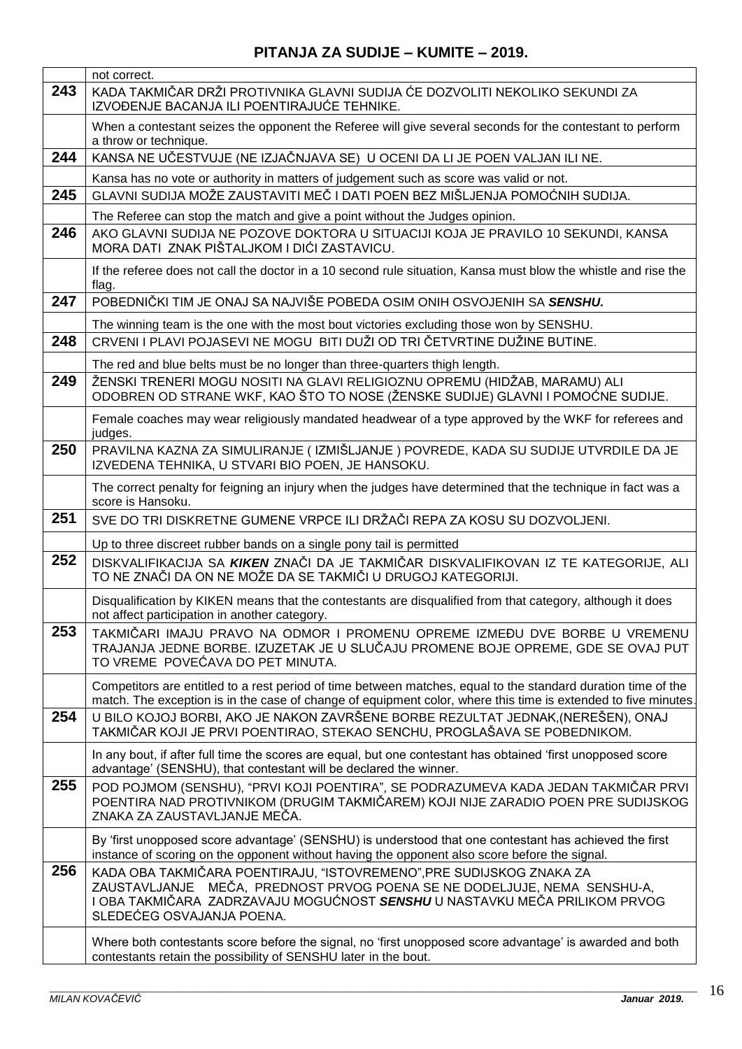|     | not correct.                                                                                                                                                                                                                                               |
|-----|------------------------------------------------------------------------------------------------------------------------------------------------------------------------------------------------------------------------------------------------------------|
| 243 | KADA TAKMIČAR DRŽI PROTIVNIKA GLAVNI SUDIJA ĆE DOZVOLITI NEKOLIKO SEKUNDI ZA<br>IZVOĐENJE BACANJA ILI POENTIRAJUĆE TEHNIKE.                                                                                                                                |
|     | When a contestant seizes the opponent the Referee will give several seconds for the contestant to perform<br>a throw or technique.                                                                                                                         |
| 244 | KANSA NE UČESTVUJE (NE IZJAČNJAVA SE) U OCENI DA LI JE POEN VALJAN ILI NE.                                                                                                                                                                                 |
|     | Kansa has no vote or authority in matters of judgement such as score was valid or not.                                                                                                                                                                     |
| 245 | GLAVNI SUDIJA MOŽE ZAUSTAVITI MEČ I DATI POEN BEZ MIŠLJENJA POMOĆNIH SUDIJA.                                                                                                                                                                               |
|     | The Referee can stop the match and give a point without the Judges opinion.                                                                                                                                                                                |
| 246 | AKO GLAVNI SUDIJA NE POZOVE DOKTORA U SITUACIJI KOJA JE PRAVILO 10 SEKUNDI, KANSA<br>MORA DATI ZNAK PIŠTALJKOM I DIĆI ZASTAVICU.                                                                                                                           |
|     | If the referee does not call the doctor in a 10 second rule situation, Kansa must blow the whistle and rise the<br>flag.                                                                                                                                   |
| 247 | POBEDNIČKI TIM JE ONAJ SA NAJVIŠE POBEDA OSIM ONIH OSVOJENIH SA SENSHU.                                                                                                                                                                                    |
|     | The winning team is the one with the most bout victories excluding those won by SENSHU.                                                                                                                                                                    |
| 248 | CRVENI I PLAVI POJASEVI NE MOGU BITI DUŽI OD TRI ČETVRTINE DUŽINE BUTINE.                                                                                                                                                                                  |
|     | The red and blue belts must be no longer than three-quarters thigh length.                                                                                                                                                                                 |
| 249 | ŽENSKI TRENERI MOGU NOSITI NA GLAVI RELIGIOZNU OPREMU (HIDŽAB, MARAMU) ALI<br>ODOBREN OD STRANE WKF, KAO ŠTO TO NOSE (ŽENSKE SUDIJE) GLAVNI I POMOĆNE SUDIJE.                                                                                              |
|     | Female coaches may wear religiously mandated headwear of a type approved by the WKF for referees and<br>judges.                                                                                                                                            |
| 250 | PRAVILNA KAZNA ZA SIMULIRANJE (IZMIŠLJANJE) POVREDE, KADA SU SUDIJE UTVRDILE DA JE<br>IZVEDENA TEHNIKA, U STVARI BIO POEN, JE HANSOKU.                                                                                                                     |
|     | The correct penalty for feigning an injury when the judges have determined that the technique in fact was a<br>score is Hansoku.                                                                                                                           |
| 251 | SVE DO TRI DISKRETNE GUMENE VRPCE ILI DRŽAČI REPA ZA KOSU SU DOZVOLJENI.                                                                                                                                                                                   |
|     | Up to three discreet rubber bands on a single pony tail is permitted                                                                                                                                                                                       |
| 252 | DISKVALIFIKACIJA SA KIKEN ZNAČI DA JE TAKMIČAR DISKVALIFIKOVAN IZ TE KATEGORIJE, ALI<br>TO NE ZNAČI DA ON NE MOŽE DA SE TAKMIČI U DRUGOJ KATEGORIJI.                                                                                                       |
|     | Disqualification by KIKEN means that the contestants are disqualified from that category, although it does<br>not affect participation in another category.                                                                                                |
| 253 | TAKMIČARI IMAJU PRAVO NA ODMOR I PROMENU OPREME IZMEĐU DVE BORBE U VREMENU<br>TRAJANJA JEDNE BORBE. IZUZETAK JE U SLUČAJU PROMENE BOJE OPREME, GDE SE OVAJ PUT<br>TO VREME POVEĆAVA DO PET MINUTA.                                                         |
|     | Competitors are entitled to a rest period of time between matches, equal to the standard duration time of the<br>match. The exception is in the case of change of equipment color, where this time is extended to five minutes.                            |
| 254 | U BILO KOJOJ BORBI, AKO JE NAKON ZAVRŠENE BORBE REZULTAT JEDNAK,(NEREŠEN), ONAJ<br>TAKMIČAR KOJI JE PRVI POENTIRAO, STEKAO SENCHU, PROGLAŠAVA SE POBEDNIKOM.                                                                                               |
|     | In any bout, if after full time the scores are equal, but one contestant has obtained 'first unopposed score<br>advantage' (SENSHU), that contestant will be declared the winner.                                                                          |
| 255 | POD POJMOM (SENSHU), "PRVI KOJI POENTIRA", SE PODRAZUMEVA KADA JEDAN TAKMIČAR PRVI<br>POENTIRA NAD PROTIVNIKOM (DRUGIM TAKMIČAREM) KOJI NIJE ZARADIO POEN PRE SUDIJSKOG<br>ZNAKA ZA ZAUSTAVLJANJE MEČA.                                                    |
|     | By 'first unopposed score advantage' (SENSHU) is understood that one contestant has achieved the first<br>instance of scoring on the opponent without having the opponent also score before the signal.                                                    |
| 256 | KADA OBA TAKMIČARA POENTIRAJU, "ISTOVREMENO",PRE SUDIJSKOG ZNAKA ZA<br>ZAUSTAVLJANJE MEČA, PREDNOST PRVOG POENA SE NE DODELJUJE, NEMA SENSHU-A,<br>I OBA TAKMIČARA ZADRZAVAJU MOGUĆNOST SENSHU U NASTAVKU MEČA PRILIKOM PRVOG<br>SLEDEĆEG OSVAJANJA POENA. |
|     | Where both contestants score before the signal, no 'first unopposed score advantage' is awarded and both<br>contestants retain the possibility of SENSHU later in the bout.                                                                                |